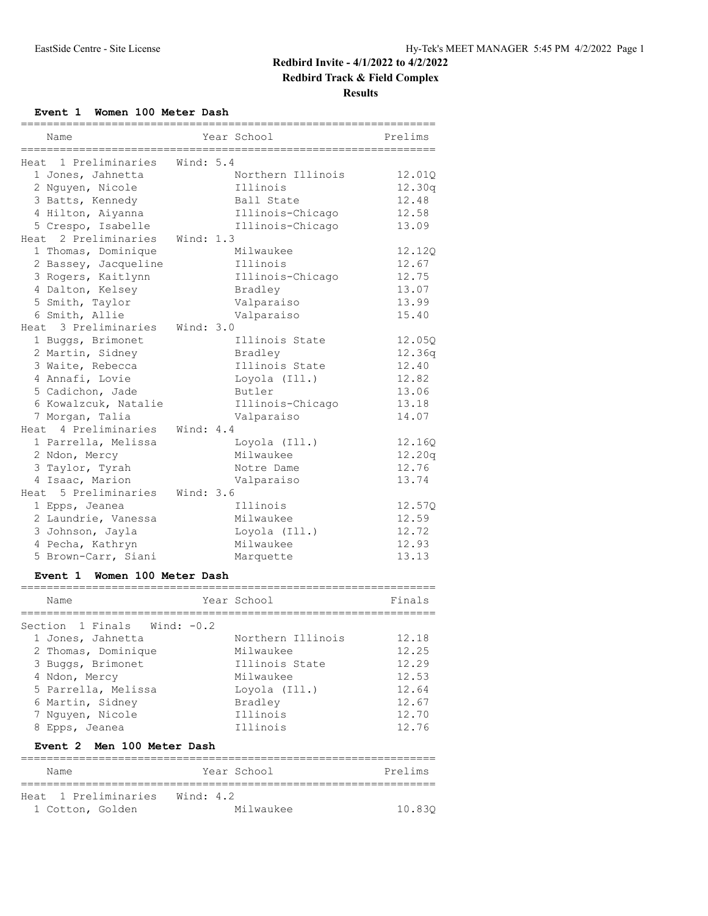**Redbird Track & Field Complex**

**Results**

**Event 1 Women 100 Meter Dash**

| ================================= |             | ================================ |         |
|-----------------------------------|-------------|----------------------------------|---------|
| Name                              |             | Year School                      | Prelims |
| Heat 1 Preliminaries              | Wind: $5.4$ |                                  |         |
| 1 Jones, Jahnetta                 |             | Northern Illinois                | 12.010  |
| 2 Nguyen, Nicole                  |             | Illinois                         | 12.30q  |
| 3 Batts, Kennedy                  |             | Ball State                       | 12.48   |
| 4 Hilton, Aiyanna                 |             | Illinois-Chicago                 | 12.58   |
| 5 Crespo, Isabelle                |             | Illinois-Chicago                 | 13.09   |
| Heat 2 Preliminaries              | Wind: 1.3   |                                  |         |
| 1 Thomas, Dominique               |             | Milwaukee                        | 12.120  |
| 2 Bassey, Jacqueline              |             | Illinois                         | 12.67   |
| 3 Rogers, Kaitlynn                |             | Illinois-Chicago                 | 12.75   |
| 4 Dalton, Kelsey                  |             | Bradley                          | 13.07   |
| 5 Smith, Taylor                   |             | Valparaiso                       | 13.99   |
| 6 Smith, Allie                    |             | Valparaiso                       | 15.40   |
| Heat 3 Preliminaries              | Wind: 3.0   |                                  |         |
| 1 Buggs, Brimonet                 |             | Illinois State                   | 12.05Q  |
| 2 Martin, Sidney                  |             | Bradley                          | 12.36q  |
| 3 Waite, Rebecca                  |             | Illinois State                   | 12.40   |
| 4 Annafi, Lovie                   |             | Loyola (Ill.)                    | 12.82   |
| 5 Cadichon, Jade                  |             | Butler                           | 13.06   |
| 6 Kowalzcuk, Natalie              |             | Illinois-Chicago                 | 13.18   |
| 7 Morgan, Talia                   |             | Valparaiso                       | 14.07   |
| Heat 4 Preliminaries              | Wind: 4.4   |                                  |         |
| 1 Parrella, Melissa               |             | Loyola (Ill.)                    | 12.160  |
| 2 Ndon, Mercy                     |             | Milwaukee                        | 12.20q  |
| 3 Taylor, Tyrah                   |             | Notre Dame                       | 12.76   |
| 4 Isaac, Marion                   |             | Valparaiso                       | 13.74   |
| Heat 5 Preliminaries              | Wind: 3.6   |                                  |         |
| 1 Epps, Jeanea                    |             | Illinois                         | 12.57Q  |
| 2 Laundrie, Vanessa               |             | Milwaukee                        | 12.59   |
| 3 Johnson, Jayla                  |             | Loyola (Ill.)                    | 12.72   |
| 4 Pecha, Kathryn                  |             | Milwaukee                        | 12.93   |
| 5 Brown-Carr, Siani               |             | Marquette                        | 13.13   |

## **Event 1 Women 100 Meter Dash**

| Name                                                                                                                                                                                             | Year School                                                                                                       | Finals                                                               |
|--------------------------------------------------------------------------------------------------------------------------------------------------------------------------------------------------|-------------------------------------------------------------------------------------------------------------------|----------------------------------------------------------------------|
| Section 1 Finals Wind: $-0.2$<br>1 Jones, Jahnetta<br>2 Thomas, Dominique<br>3 Buggs, Brimonet<br>4 Ndon, Mercy<br>5 Parrella, Melissa<br>6 Martin, Sidney<br>7 Nguyen, Nicole<br>8 Epps, Jeanea | Northern Illinois<br>Milwaukee<br>Illinois State<br>Milwaukee<br>Lovola (Ill.)<br>Bradley<br>Illinois<br>Illinois | 12.18<br>12.25<br>12.29<br>12.53<br>12.64<br>12.67<br>12.70<br>12.76 |
| Event 2 Men 100 Meter Dash                                                                                                                                                                       |                                                                                                                   |                                                                      |

| Name                           | Year School | Prelims |
|--------------------------------|-------------|---------|
|                                |             |         |
| Heat 1 Preliminaries Wind: 4.2 |             |         |
| 1 Cotton, Golden               | Milwaukee   | 10.830  |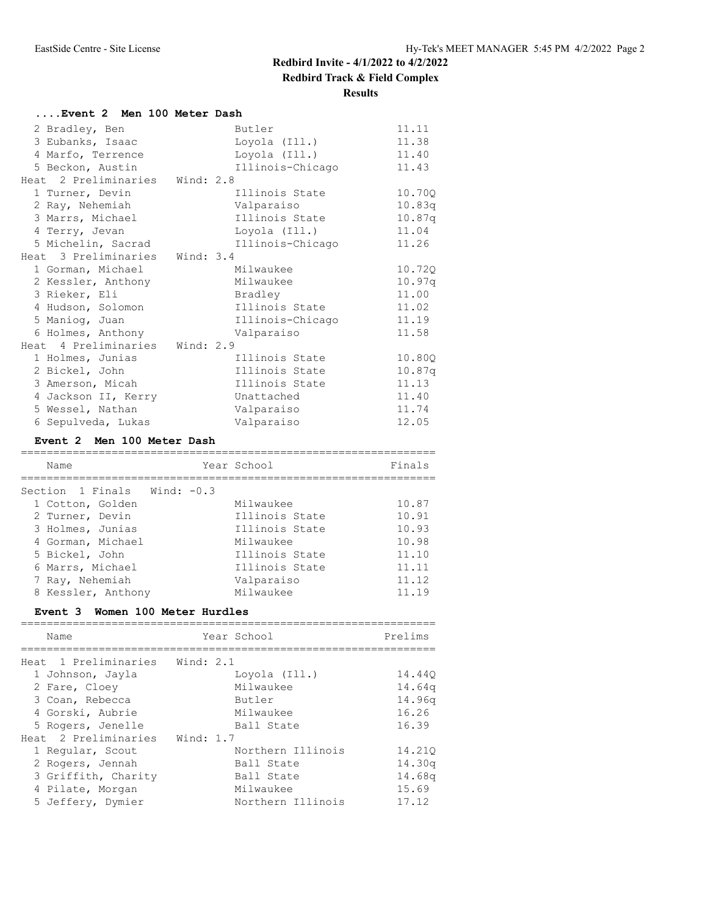**Redbird Track & Field Complex**

#### **Results**

| Event 2 Men 100 Meter Dash     |                  |        |
|--------------------------------|------------------|--------|
| 2 Bradley, Ben                 | Butler           | 11.11  |
| 3 Eubanks, Isaac               | Loyola (Ill.)    | 11.38  |
| 4 Marfo, Terrence              | Loyola (Ill.)    | 11.40  |
| 5 Beckon, Austin               | Illinois-Chicago | 11.43  |
| Heat 2 Preliminaries Wind: 2.8 |                  |        |
| 1 Turner, Devin                | Illinois State   | 10.70Q |
| 2 Ray, Nehemiah                | Valparaiso       | 10.83q |
| 3 Marrs, Michael               | Illinois State   | 10.87q |
| 4 Terry, Jevan                 | Loyola (Ill.)    | 11.04  |
| 5 Michelin, Sacrad             | Illinois-Chicago | 11.26  |
| Heat 3 Preliminaries Wind: 3.4 |                  |        |
| 1 Gorman, Michael              | Milwaukee        | 10.720 |
| 2 Kessler, Anthony             | Milwaukee        | 10.97q |
| 3 Rieker, Eli                  | Bradley          | 11.00  |
| 4 Hudson, Solomon              | Illinois State   | 11.02  |
| 5 Maniog, Juan                 | Illinois-Chicago | 11.19  |
| 6 Holmes, Anthony              | Valparaiso       | 11.58  |
| Heat 4 Preliminaries Wind: 2.9 |                  |        |
| 1 Holmes, Junias               | Illinois State   | 10.80Q |
| 2 Bickel, John                 | Illinois State   | 10.87q |
| 3 Amerson, Micah               | Illinois State   | 11.13  |
| 4 Jackson II, Kerry            | Unattached       | 11.40  |
| 5 Wessel, Nathan               | Valparaiso       | 11.74  |
| 6 Sepulveda, Lukas             | Valparaiso       | 12.05  |

#### **Event 2 Men 100 Meter Dash**

| Name                          | Year School    | Finals |
|-------------------------------|----------------|--------|
|                               |                |        |
| Section 1 Finals Wind: $-0.3$ |                |        |
| 1 Cotton, Golden              | Milwaukee      | 10.87  |
| 2 Turner, Devin               | Illinois State | 10.91  |
| 3 Holmes, Junias              | Illinois State | 10.93  |
| 4 Gorman, Michael             | Milwaukee      | 10.98  |
| 5 Bickel, John                | Illinois State | 11.10  |
| 6 Marrs, Michael              | Illinois State | 11.11  |
| 7 Ray, Nehemiah               | Valparaiso     | 11.12  |
| 8 Kessler, Anthony            | Milwaukee      | 11.19  |

#### **Event 3 Women 100 Meter Hurdles**

| Name                 | Year School       | Prelims |
|----------------------|-------------------|---------|
|                      |                   |         |
| Heat 1 Preliminaries | Wind: 2.1         |         |
| 1 Johnson, Jayla     | Loyola (Ill.)     | 14.440  |
| 2 Fare, Cloey        | Milwaukee         | 14.64q  |
| 3 Coan, Rebecca      | Butler            | 14.96q  |
| 4 Gorski, Aubrie     | Milwaukee         | 16.26   |
| 5 Rogers, Jenelle    | Ball State        | 16.39   |
| Heat 2 Preliminaries | Wind: $1.7$       |         |
| 1 Regular, Scout     | Northern Illinois | 14.210  |
| 2 Rogers, Jennah     | Ball State        | 14.30q  |
| 3 Griffith, Charity  | Ball State        | 14.68q  |
| 4 Pilate, Morgan     | Milwaukee         | 15.69   |
| 5 Jeffery, Dymier    | Northern Illinois | 17.12   |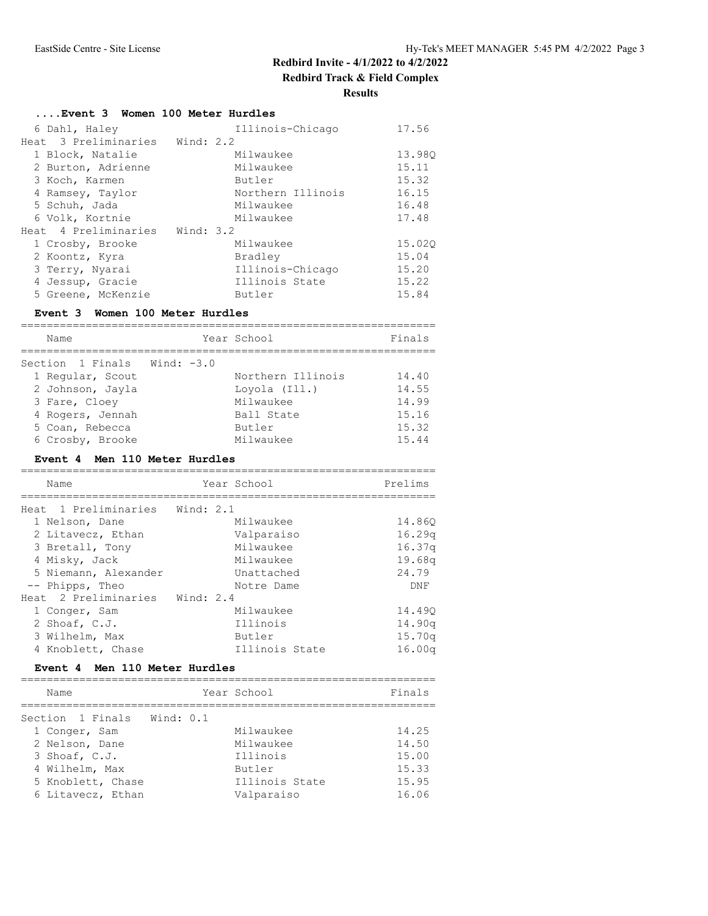**Results**

## **....Event 3 Women 100 Meter Hurdles**

| 6 Dahl, Haley                  |             | Illinois-Chicago  | 17.56  |
|--------------------------------|-------------|-------------------|--------|
| Heat 3 Preliminaries           | Wind: $2.2$ |                   |        |
| 1 Block, Natalie               |             | Milwaukee         | 13.980 |
| 2 Burton, Adrienne             |             | Milwaukee         | 15.11  |
| 3 Koch, Karmen                 |             | Butler            | 15.32  |
| 4 Ramsey, Taylor               |             | Northern Illinois | 16.15  |
| 5 Schuh, Jada                  |             | Milwaukee         | 16.48  |
| 6 Volk, Kortnie                |             | Milwaukee         | 17.48  |
| Heat 4 Preliminaries Wind: 3.2 |             |                   |        |
| 1 Crosby, Brooke               |             | Milwaukee         | 15.020 |
| 2 Koontz, Kyra                 |             | Bradley           | 15.04  |
| 3 Terry, Nyarai                |             | Illinois-Chicago  | 15.20  |
| 4 Jessup, Gracie               |             | Illinois State    | 15.22  |
| 5 Greene, McKenzie             |             | Butler            | 15.84  |

### **Event 3 Women 100 Meter Hurdles**

| Name                        | Year School       | Finals |
|-----------------------------|-------------------|--------|
| Section 1 Finals Wind: -3.0 |                   |        |
| 1 Regular, Scout            | Northern Illinois | 14.40  |
| 2 Johnson, Jayla            | Loyola (Ill.)     | 14.55  |
| 3 Fare, Cloey               | Milwaukee         | 14.99  |
| 4 Rogers, Jennah            | Ball State        | 15.16  |
| 5 Coan, Rebecca             | Butler            | 15.32  |
| 6 Crosby, Brooke            | Milwaukee         | 15.44  |

#### **Event 4 Men 110 Meter Hurdles**

| Name                           | Year School    | Prelims |
|--------------------------------|----------------|---------|
|                                |                |         |
| Heat 1 Preliminaries Wind: 2.1 |                |         |
| 1 Nelson, Dane                 | Milwaukee      | 14.860  |
| 2 Litavecz, Ethan              | Valparaiso     | 16.29q  |
| 3 Bretall, Tony                | Milwaukee      | 16.37q  |
| 4 Misky, Jack                  | Milwaukee      | 19.68q  |
| 5 Niemann, Alexander           | Unattached     | 24.79   |
| -- Phipps, Theo                | Notre Dame     | DNF     |
| Heat 2 Preliminaries Wind: 2.4 |                |         |
| 1 Conger, Sam                  | Milwaukee      | 14.490  |
| 2 Shoaf, C.J.                  | Illinois       | 14.90q  |
| 3 Wilhelm, Max                 | Butler         | 15.70q  |
| 4 Knoblett, Chase              | Illinois State | 16.00q  |

#### **Event 4 Men 110 Meter Hurdles**

| Name                       | Year School    | Finals |
|----------------------------|----------------|--------|
| Section 1 Finals Wind: 0.1 |                |        |
| 1 Conger, Sam              | Milwaukee      | 14.25  |
| 2 Nelson, Dane             | Milwaukee      | 14.50  |
| 3 Shoaf, C.J.              | Illinois       | 15.00  |
| 4 Wilhelm, Max             | Butler         | 15.33  |
| 5 Knoblett, Chase          | Illinois State | 15.95  |
| 6 Litavecz, Ethan          | Valparaiso     | 16.06  |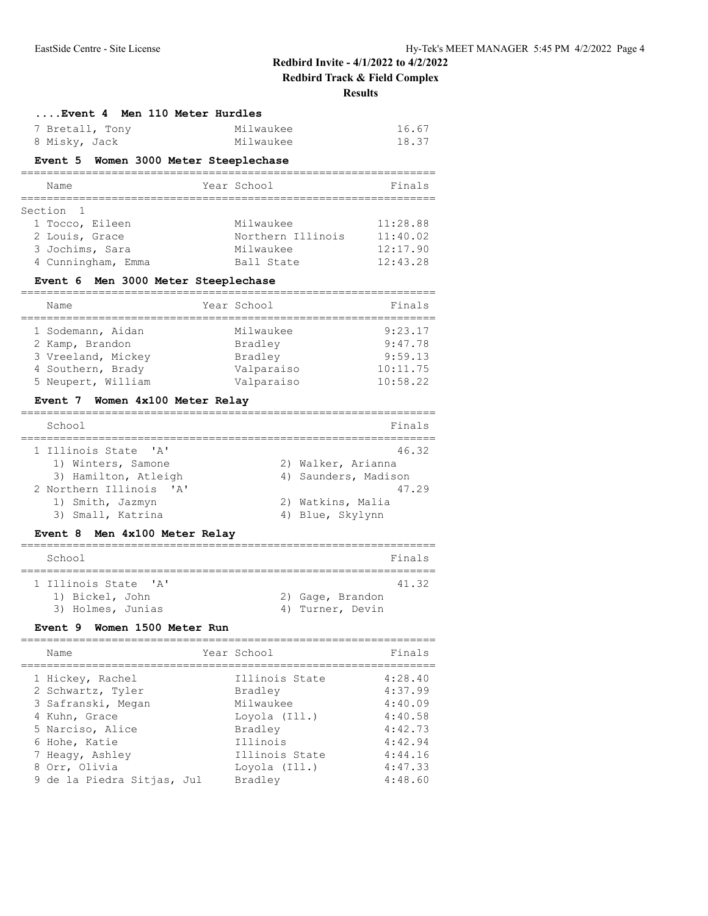**Redbird Track & Field Complex**

**Results**

| 7 Bretall, Tony<br>8 Misky, Jack                                        | Milwaukee<br>Milwaukee                        | 16.67<br>18.37       |
|-------------------------------------------------------------------------|-----------------------------------------------|----------------------|
| Event 5 Women 3000 Meter Steeplechase<br>============================== | ==========================                    |                      |
| Name<br>===========<br>=============================                    | Year School                                   | Finals               |
| Section<br>-1                                                           |                                               |                      |
| 1 Tocco, Eileen                                                         | Milwaukee                                     | 11:28.88             |
| 2 Louis, Grace                                                          | Northern Illinois                             | 11:40.02             |
| 3 Jochims, Sara                                                         | Milwaukee                                     | 12:17.90             |
| 4 Cunningham, Emma                                                      | Ball State                                    | 12:43.28             |
| Event 6 Men 3000 Meter Steeplechase                                     | ;==========================                   |                      |
| Name<br>-------------------                                             | Year School                                   | Finals               |
| 1 Sodemann, Aidan                                                       | Milwaukee                                     | 9:23.17              |
| 2 Kamp, Brandon                                                         | Bradley                                       | 9:47.78              |
| 3 Vreeland, Mickey                                                      | Bradley                                       | 9:59.13              |
| 4 Southern, Brady                                                       | Valparaiso                                    | 10:11.75             |
| 5 Neupert, William                                                      | Valparaiso                                    | 10:58.22             |
| Event 7 Women 4x100 Meter Relay                                         |                                               |                      |
| School<br>=====================                                         |                                               | Finals<br>========== |
| $\mathsf{A}$<br>1 Illinois State                                        |                                               | 46.32                |
| 1) Winters, Samone                                                      | 2) Walker, Arianna                            |                      |
| 3) Hamilton, Atleigh                                                    | 4) Saunders, Madison                          |                      |
| 2 Northern Illinois 'A'                                                 |                                               | 47.29                |
| 1) Smith, Jazmyn                                                        | 2) Watkins, Malia                             |                      |
| 3) Small, Katrina                                                       | 4) Blue, Skylynn                              |                      |
| Event 8 Men 4x100 Meter Relay                                           |                                               |                      |
| School                                                                  |                                               | Finals               |
| 1 Illinois State<br>$^{\prime}$ A $^{\prime}$                           |                                               | 41.32                |
| 1) Bickel, John                                                         | 2) Gage, Brandon                              |                      |
| 3) Holmes, Junias                                                       | Turner, Devin<br>4)                           |                      |
| <b>Event 9</b><br>Women 1500 Meter Run                                  |                                               |                      |
| Name                                                                    | Year School                                   | Finals               |
| 1 Hickey, Rachel                                                        | ---------------------------<br>Illinois State | 4:28.40              |
| 2 Schwartz, Tyler                                                       | Bradley                                       | 4:37.99              |
| 3 Safranski, Megan                                                      | Milwaukee                                     | 4:40.09              |
| 4 Kuhn, Grace                                                           | Loyola (Ill.)                                 | 4:40.58              |
| 5 Narciso, Alice                                                        | Bradley                                       | 4:42.73              |
|                                                                         |                                               |                      |
| 6 Hohe, Katie                                                           | Illinois                                      | 4:42.94              |
| 7 Heagy, Ashley<br>8 Orr, Olivia                                        | Illinois State<br>Loyola (Ill.)               | 4:44.16<br>4:47.33   |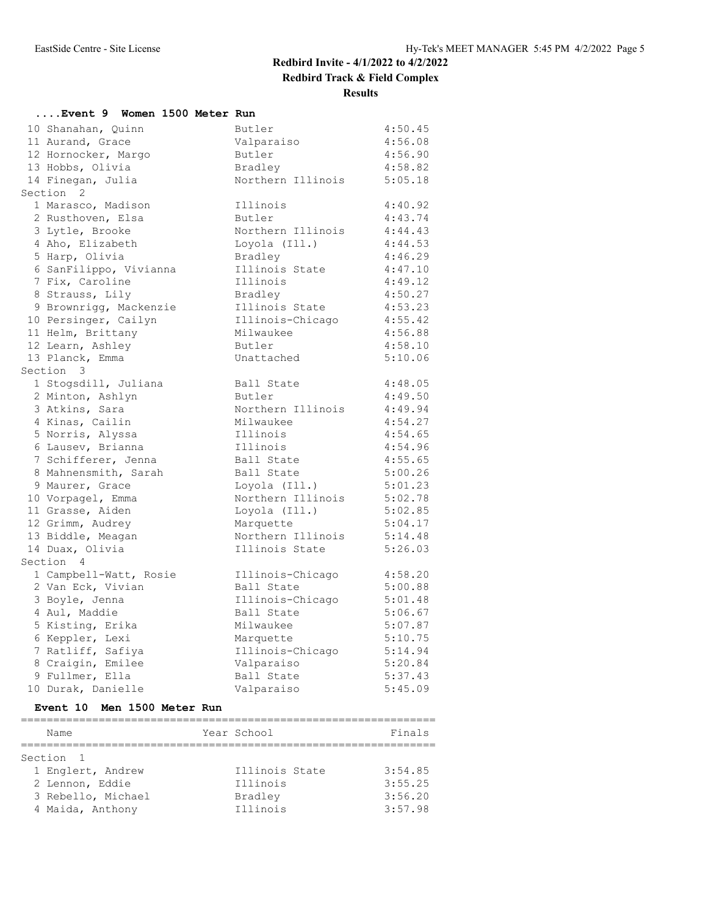**Redbird Track & Field Complex**

**Results**

| Event 9 Women 1500 Meter Run |                   |         |
|------------------------------|-------------------|---------|
| 10 Shanahan, Quinn           | Butler            | 4:50.45 |
| 11 Aurand, Grace             | Valparaiso        | 4:56.08 |
| 12 Hornocker, Margo          | Butler            | 4:56.90 |
| 13 Hobbs, Olivia             | Bradley           | 4:58.82 |
| 14 Finegan, Julia            | Northern Illinois | 5:05.18 |
| Section 2                    |                   |         |
| 1 Marasco, Madison           | Illinois          | 4:40.92 |
| 2 Rusthoven, Elsa            | Butler            | 4:43.74 |
| 3 Lytle, Brooke              | Northern Illinois | 4:44.43 |
| 4 Aho, Elizabeth             | Loyola (Ill.)     | 4:44.53 |
| 5 Harp, Olivia               | Bradley           | 4:46.29 |
| 6 SanFilippo, Vivianna       | Illinois State    | 4:47.10 |
| 7 Fix, Caroline              | Illinois          | 4:49.12 |
| 8 Strauss, Lily              | Bradley           | 4:50.27 |
| 9 Brownrigg, Mackenzie       | Illinois State    | 4:53.23 |
| 10 Persinger, Cailyn         | Illinois-Chicago  | 4:55.42 |
| 11 Helm, Brittany            | Milwaukee         | 4:56.88 |
| 12 Learn, Ashley             | Butler            | 4:58.10 |
| 13 Planck, Emma              | Unattached        | 5:10.06 |
| Section 3                    |                   |         |
| 1 Stogsdill, Juliana         | Ball State        | 4:48.05 |
| 2 Minton, Ashlyn             | Butler            | 4:49.50 |
| 3 Atkins, Sara               | Northern Illinois | 4:49.94 |
| 4 Kinas, Cailin              | Milwaukee         | 4:54.27 |
| 5 Norris, Alyssa             | Illinois          | 4:54.65 |
| 6 Lausev, Brianna            | Illinois          | 4:54.96 |
| 7 Schifferer, Jenna          | Ball State        | 4:55.65 |
| 8 Mahnensmith, Sarah         | Ball State        | 5:00.26 |
| 9 Maurer, Grace              | Loyola (Ill.)     | 5:01.23 |
| 10 Vorpagel, Emma            | Northern Illinois | 5:02.78 |
| 11 Grasse, Aiden             | Loyola (Ill.)     | 5:02.85 |
| 12 Grimm, Audrey             | Marquette         | 5:04.17 |
| 13 Biddle, Meagan            | Northern Illinois | 5:14.48 |
| 14 Duax, Olivia              | Illinois State    | 5:26.03 |
| Section 4                    |                   |         |
| 1 Campbell-Watt, Rosie       | Illinois-Chicago  | 4:58.20 |
| 2 Van Eck, Vivian            | Ball State        | 5:00.88 |
| 3 Boyle, Jenna               | Illinois-Chicago  | 5:01.48 |
| 4 Aul, Maddie                | Ball State        | 5:06.67 |
| 5 Kisting, Erika             | Milwaukee         | 5:07.87 |
| 6 Keppler, Lexi              | Marquette         | 5:10.75 |
| 7 Ratliff, Safiya            | Illinois-Chicago  | 5:14.94 |
| 8 Craigin, Emilee            | Valparaiso        | 5:20.84 |
| 9 Fullmer, Ella              | Ball State        | 5:37.43 |
| 10 Durak, Danielle           | Valparaiso        | 5:45.09 |
|                              |                   |         |

#### **Event 10 Men 1500 Meter Run**

| Name               | Year School    | Finals  |
|--------------------|----------------|---------|
|                    |                |         |
| Section 1          |                |         |
| 1 Englert, Andrew  | Illinois State | 3:54.85 |
| 2 Lennon, Eddie    | Illinois       | 3:55.25 |
| 3 Rebello, Michael | Bradley        | 3:56.20 |
| 4 Maida, Anthony   | Illinois       | 3:57.98 |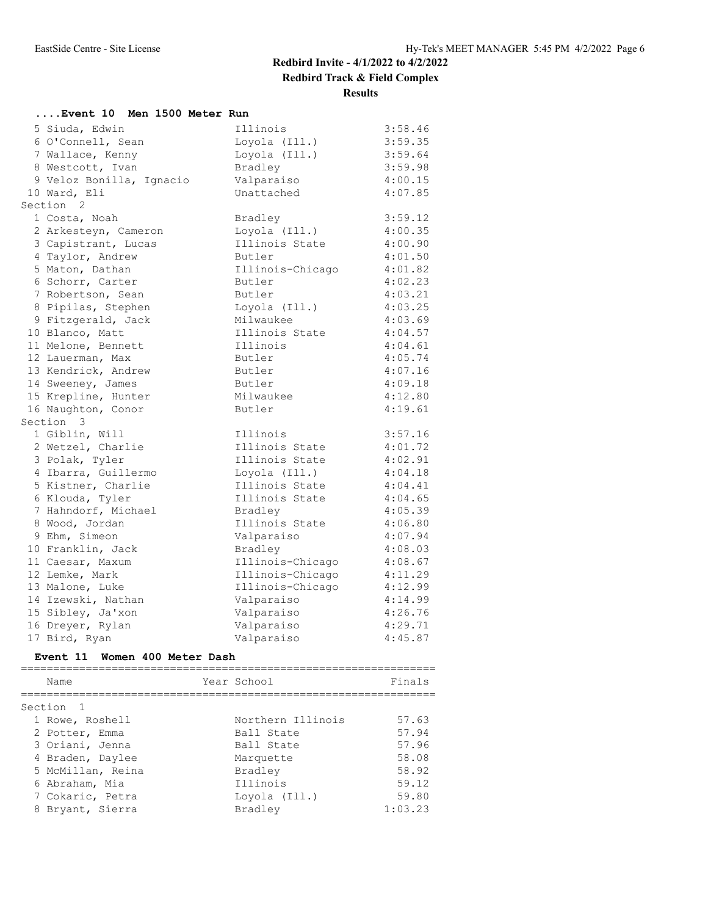**Results**

| Event 10 Men 1500 Meter Run |                  |         |
|-----------------------------|------------------|---------|
| 5 Siuda, Edwin              | Illinois         | 3:58.46 |
| 6 O'Connell, Sean           | Loyola (Ill.)    | 3:59.35 |
| 7 Wallace, Kenny            | Loyola (Ill.)    | 3:59.64 |
| 8 Westcott, Ivan            | Bradley          | 3:59.98 |
| 9 Veloz Bonilla, Ignacio    | Valparaiso       | 4:00.15 |
| 10 Ward, Eli                | Unattached       | 4:07.85 |
| Section 2                   |                  |         |
| 1 Costa, Noah               | Bradley          | 3:59.12 |
| 2 Arkesteyn, Cameron        | Loyola (Ill.)    | 4:00.35 |
| 3 Capistrant, Lucas         | Illinois State   | 4:00.90 |
| 4 Taylor, Andrew            | Butler           | 4:01.50 |
| 5 Maton, Dathan             | Illinois-Chicago | 4:01.82 |
| 6 Schorr, Carter            | Butler           | 4:02.23 |
| 7 Robertson, Sean           | Butler           | 4:03.21 |
| 8 Pipilas, Stephen          | Loyola (Ill.)    | 4:03.25 |
| 9 Fitzgerald, Jack          | Milwaukee        | 4:03.69 |
| 10 Blanco, Matt             | Illinois State   | 4:04.57 |
| 11 Melone, Bennett          | Illinois         | 4:04.61 |
| 12 Lauerman, Max            | Butler           | 4:05.74 |
| 13 Kendrick, Andrew         | Butler           | 4:07.16 |
| 14 Sweeney, James           | Butler           | 4:09.18 |
| 15 Krepline, Hunter         | Milwaukee        | 4:12.80 |
| 16 Naughton, Conor          | Butler           | 4:19.61 |
| Section 3                   |                  |         |
| 1 Giblin, Will              | Illinois         | 3:57.16 |
| 2 Wetzel, Charlie           | Illinois State   | 4:01.72 |
| 3 Polak, Tyler              | Illinois State   | 4:02.91 |
| 4 Ibarra, Guillermo         | Loyola (Ill.)    | 4:04.18 |
| 5 Kistner, Charlie          | Illinois State   | 4:04.41 |
| 6 Klouda, Tyler             | Illinois State   | 4:04.65 |
| 7 Hahndorf, Michael         | Bradley          | 4:05.39 |
| 8 Wood, Jordan              | Illinois State   | 4:06.80 |
| 9 Ehm, Simeon               | Valparaiso       | 4:07.94 |
| 10 Franklin, Jack           | Bradley          | 4:08.03 |
| 11 Caesar, Maxum            | Illinois-Chicago | 4:08.67 |
| 12 Lemke, Mark              | Illinois-Chicago | 4:11.29 |
| 13 Malone, Luke             | Illinois-Chicago | 4:12.99 |
| 14 Izewski, Nathan          | Valparaiso       | 4:14.99 |
| 15 Sibley, Ja'xon           | Valparaiso       | 4:26.76 |
| 16 Dreyer, Rylan            | Valparaiso       | 4:29.71 |
| 17 Bird, Ryan               | Valparaiso       | 4:45.87 |

### **Event 11 Women 400 Meter Dash**

| Name              | Year School       | Finals  |
|-------------------|-------------------|---------|
| Section 1         |                   |         |
| 1 Rowe, Roshell   | Northern Illinois | 57.63   |
| 2 Potter, Emma    | Ball State        | 57.94   |
| 3 Oriani, Jenna   | Ball State        | 57.96   |
| 4 Braden, Daylee  | Marquette         | 58.08   |
| 5 McMillan, Reina | Bradley           | 58.92   |
| 6 Abraham, Mia    | Illinois          | 59.12   |
| 7 Cokaric, Petra  | Loyola (Ill.)     | 59.80   |
| 8 Bryant, Sierra  | Bradley           | 1:03.23 |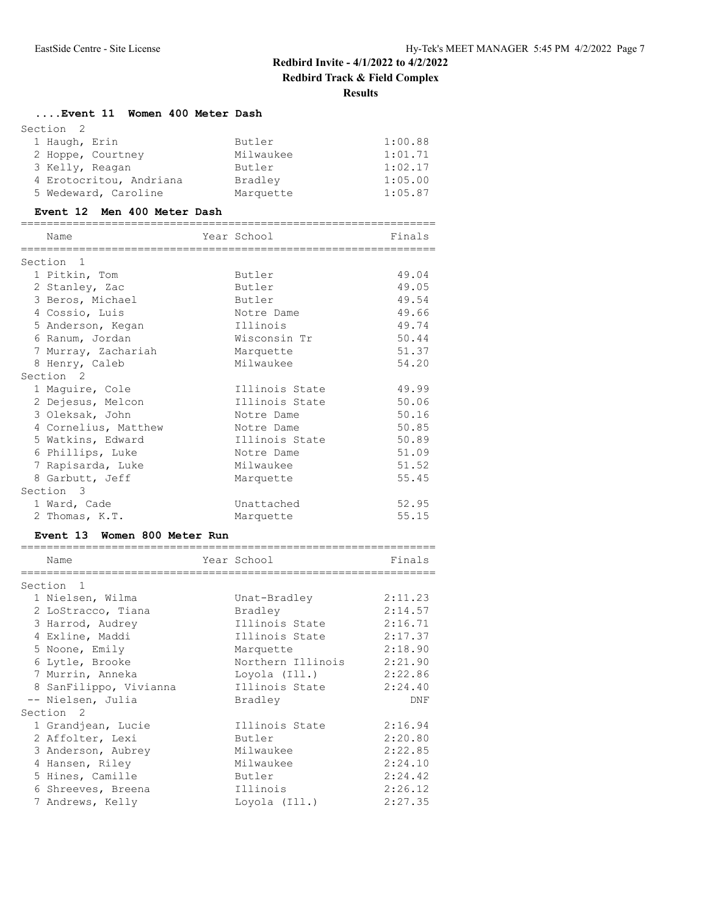#### **....Event 11 Women 400 Meter Dash**

| Section 2     |                         |           |         |
|---------------|-------------------------|-----------|---------|
| 1 Haugh, Erin |                         | Butler    | 1:00.88 |
|               | 2 Hoppe, Courtney       | Milwaukee | 1:01.71 |
|               | 3 Kelly, Reagan         | Butler    | 1:02.17 |
|               | 4 Erotocritou, Andriana | Bradley   | 1:05.00 |
|               | 5 Wedeward, Caroline    | Marquette | 1:05.87 |

#### **Event 12 Men 400 Meter Dash**

| Name                 |                                 | Year School                  | Finals |
|----------------------|---------------------------------|------------------------------|--------|
| Section 1            | ;============================== | ---------------------------- |        |
|                      | 1 Pitkin, Tom                   | Butler                       | 49.04  |
|                      | 2 Stanley, Zac                  | Butler                       | 49.05  |
|                      | 3 Beros, Michael                | Butler                       | 49.54  |
|                      | 4 Cossio, Luis                  | Notre Dame                   | 49.66  |
|                      | 5 Anderson, Kegan               | Illinois                     | 49.74  |
|                      | 6 Ranum, Jordan                 | Wisconsin Tr                 | 50.44  |
|                      | 7 Murray, Zachariah             | Marquette                    | 51.37  |
|                      | 8 Henry, Caleb                  | Milwaukee                    | 54.20  |
| Section <sub>2</sub> |                                 |                              |        |
|                      | 1 Maguire, Cole                 | Illinois State               | 49.99  |
|                      | 2 Dejesus, Melcon               | Illinois State               | 50.06  |
|                      | 3 Oleksak, John                 | Notre Dame                   | 50.16  |
|                      | 4 Cornelius, Matthew            | Notre Dame                   | 50.85  |
|                      | 5 Watkins, Edward               | Illinois State               | 50.89  |
|                      | 6 Phillips, Luke                | Notre Dame                   | 51.09  |
|                      | 7 Rapisarda, Luke               | Milwaukee                    | 51.52  |
|                      | 8 Garbutt, Jeff                 | Marquette                    | 55.45  |
| Section 3            |                                 |                              |        |
|                      | 1 Ward, Cade                    | Unattached                   | 52.95  |
|                      | 2 Thomas, K.T.                  | Marquette                    | 55.15  |

#### **Event 13 Women 800 Meter Run**

| Name                   | Year School       | Finals  |
|------------------------|-------------------|---------|
|                        |                   |         |
| Section <sub>1</sub>   |                   |         |
| 1 Nielsen, Wilma       | Unat-Bradley      | 2:11.23 |
| 2 LoStracco, Tiana     | Bradley           | 2:14.57 |
| 3 Harrod, Audrey       | Illinois State    | 2:16.71 |
| 4 Exline, Maddi        | Illinois State    | 2:17.37 |
| 5 Noone, Emily         | Marquette         | 2:18.90 |
| 6 Lytle, Brooke        | Northern Illinois | 2:21.90 |
| 7 Murrin, Anneka       | Loyola (Ill.)     | 2:22.86 |
| 8 SanFilippo, Vivianna | Illinois State    | 2:24.40 |
| -- Nielsen, Julia      | Bradley           | DNF     |
| Section <sub>2</sub>   |                   |         |
| 1 Grandjean, Lucie     | Illinois State    | 2:16.94 |
| 2 Affolter, Lexi       | Butler            | 2:20.80 |
| 3 Anderson, Aubrey     | Milwaukee         | 2:22.85 |
| 4 Hansen, Riley        | Milwaukee         | 2:24.10 |
| 5 Hines, Camille       | Butler            | 2:24.42 |
| 6 Shreeves, Breena     | Illinois          | 2:26.12 |
| 7 Andrews, Kelly       | Loyola (Ill.)     | 2:27.35 |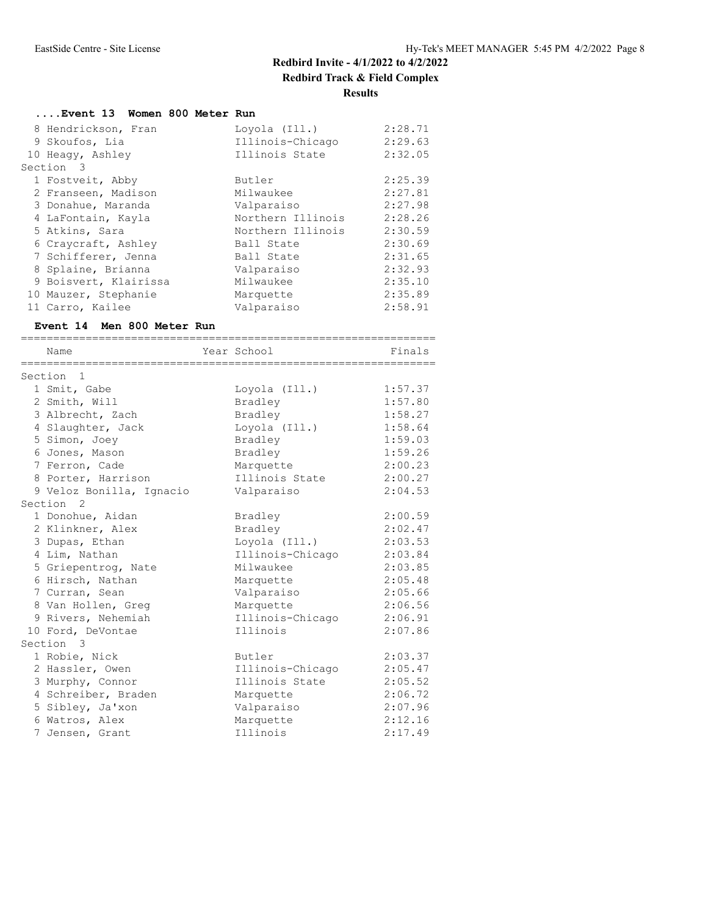**Results**

| Event 13 Women 800 Meter Run |                   |         |
|------------------------------|-------------------|---------|
| 8 Hendrickson, Fran          | Loyola (Ill.)     | 2:28.71 |
| 9 Skoufos, Lia               | Illinois-Chicago  | 2:29.63 |
| 10 Heagy, Ashley             | Illinois State    | 2:32.05 |
| Section 3                    |                   |         |
| 1 Fostveit, Abby             | Butler            | 2:25.39 |
| 2 Franseen, Madison          | Milwaukee         | 2:27.81 |
| 3 Donahue, Maranda           | Valparaiso        | 2:27.98 |
| 4 LaFontain, Kayla           | Northern Illinois | 2:28.26 |
| 5 Atkins, Sara               | Northern Illinois | 2:30.59 |
| 6 Craycraft, Ashley          | Ball State        | 2:30.69 |
| 7 Schifferer, Jenna          | Ball State        | 2:31.65 |
| 8 Splaine, Brianna           | Valparaiso        | 2:32.93 |
| 9 Boisvert, Klairissa        | Milwaukee         | 2:35.10 |
| 10 Mauzer, Stephanie         | Marquette         | 2:35.89 |
| 11 Carro, Kailee             | Valparaiso        | 2:58.91 |

#### **Event 14 Men 800 Meter Run**

| Name                     | Year School      | Finals  |
|--------------------------|------------------|---------|
| Section 1                |                  |         |
| 1 Smit, Gabe             | Loyola (Ill.)    | 1:57.37 |
| 2 Smith, Will            | Bradley          | 1:57.80 |
| 3 Albrecht, Zach         | Bradley          | 1:58.27 |
| 4 Slaughter, Jack        | Loyola (Ill.)    | 1:58.64 |
| 5 Simon, Joey            | Bradley          | 1:59.03 |
| 6 Jones, Mason           | Bradley          | 1:59.26 |
| 7 Ferron, Cade           | Marquette        | 2:00.23 |
| 8 Porter, Harrison       | Illinois State   | 2:00.27 |
| 9 Veloz Bonilla, Ignacio | Valparaiso       | 2:04.53 |
| Section <sub>2</sub>     |                  |         |
| 1 Donohue, Aidan         | Bradley          | 2:00.59 |
| 2 Klinkner, Alex         | Bradley          | 2:02.47 |
| 3 Dupas, Ethan           | Loyola (Ill.)    | 2:03.53 |
| 4 Lim, Nathan            | Illinois-Chicago | 2:03.84 |
| 5 Griepentrog, Nate      | Milwaukee        | 2:03.85 |
| 6 Hirsch, Nathan         | Marquette        | 2:05.48 |
| 7 Curran, Sean           | Valparaiso       | 2:05.66 |
| 8 Van Hollen, Greq       | Marquette        | 2:06.56 |
| 9 Rivers, Nehemiah       | Illinois-Chicago | 2:06.91 |
| 10 Ford, DeVontae        | Illinois         | 2:07.86 |
| Section 3                |                  |         |
| 1 Robie, Nick            | Butler           | 2:03.37 |
| 2 Hassler, Owen          | Illinois-Chicago | 2:05.47 |
| 3 Murphy, Connor         | Illinois State   | 2:05.52 |
| 4 Schreiber, Braden      | Marquette        | 2:06.72 |
| 5 Sibley, Ja'xon         | Valparaiso       | 2:07.96 |
| 6 Watros, Alex           | Marquette        | 2:12.16 |
| 7 Jensen, Grant          | Illinois         | 2:17.49 |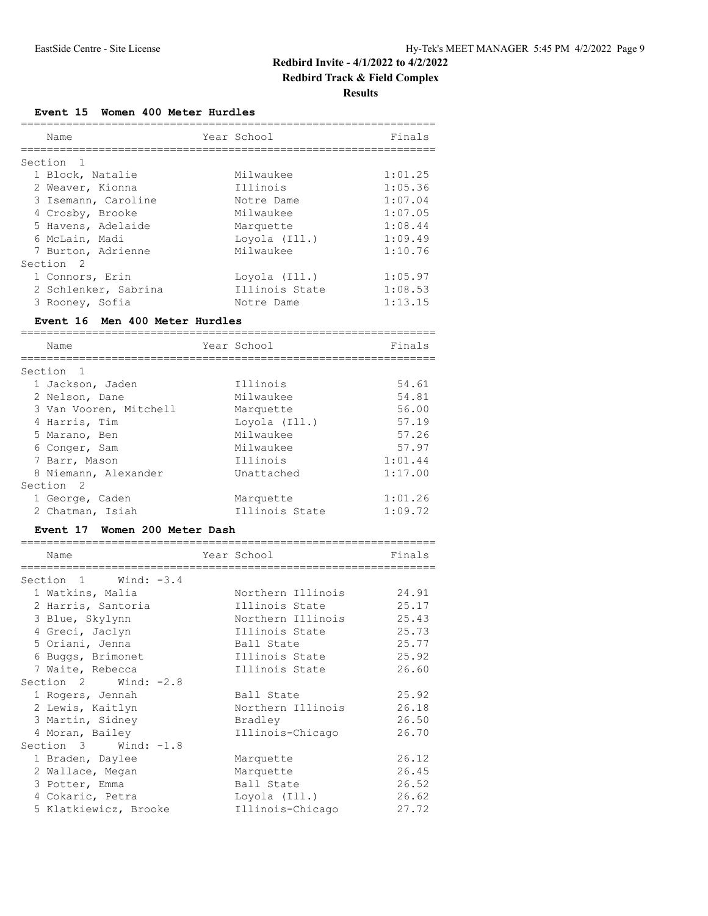## **Redbird Track & Field Complex**

**Results**

#### **Event 15 Women 400 Meter Hurdles**

| Finals                        |
|-------------------------------|
|                               |
|                               |
| 1:01.25                       |
| 1:05.36                       |
| 1:07.04                       |
| 1:07.05                       |
| 1:08.44                       |
| 1:09.49                       |
| 1:10.76                       |
|                               |
| 1:05.97<br>1:08.53<br>1:13.15 |
|                               |

#### **Event 16 Men 400 Meter Hurdles**

| Name                   | Year School    | Finals  |
|------------------------|----------------|---------|
|                        |                |         |
| Section 1              |                |         |
| 1 Jackson, Jaden       | Illinois       | 54.61   |
| 2 Nelson, Dane         | Milwaukee      | 54.81   |
| 3 Van Vooren, Mitchell | Marquette      | 56.00   |
| 4 Harris, Tim          | Lovola (Ill.)  | 57.19   |
| 5 Marano, Ben          | Milwaukee      | 57.26   |
| 6 Conger, Sam          | Milwaukee      | 57.97   |
| 7 Barr, Mason          | Illinois       | 1:01.44 |
| 8 Niemann, Alexander   | Unattached     | 1:17.00 |
| Section<br>- 2         |                |         |
| 1 George, Caden        | Marquette      | 1:01.26 |
| 2 Chatman, Isiah       | Illinois State | 1:09.72 |

#### **Event 17 Women 200 Meter Dash**

| Name                     | Year School       | Finals |
|--------------------------|-------------------|--------|
| Section $1$ Wind: $-3.4$ |                   |        |
| 1 Watkins, Malia         | Northern Illinois | 24.91  |
| 2 Harris, Santoria       | Illinois State    | 25.17  |
| 3 Blue, Skylynn          | Northern Illinois | 25.43  |
| 4 Greci, Jaclyn          | Illinois State    | 25.73  |
| 5 Oriani, Jenna          | Ball State        | 25.77  |
| 6 Buggs, Brimonet        | Illinois State    | 25.92  |
| 7 Waite, Rebecca         | Illinois State    | 26.60  |
| Section $2$ Wind: $-2.8$ |                   |        |
| 1 Rogers, Jennah         | Ball State        | 25.92  |
| 2 Lewis, Kaitlyn         | Northern Illinois | 26.18  |
| 3 Martin, Sidney         | Bradley           | 26.50  |
| 4 Moran, Bailey          | Illinois-Chicago  | 26.70  |
| Section 3 Wind: -1.8     |                   |        |
| 1 Braden, Daylee         | Marquette         | 26.12  |
| 2 Wallace, Megan         | Marquette         | 26.45  |
| 3 Potter, Emma           | Ball State        | 26.52  |
| 4 Cokaric, Petra         | Loyola (Ill.)     | 26.62  |
| 5 Klatkiewicz, Brooke    | Illinois-Chicago  | 27.72  |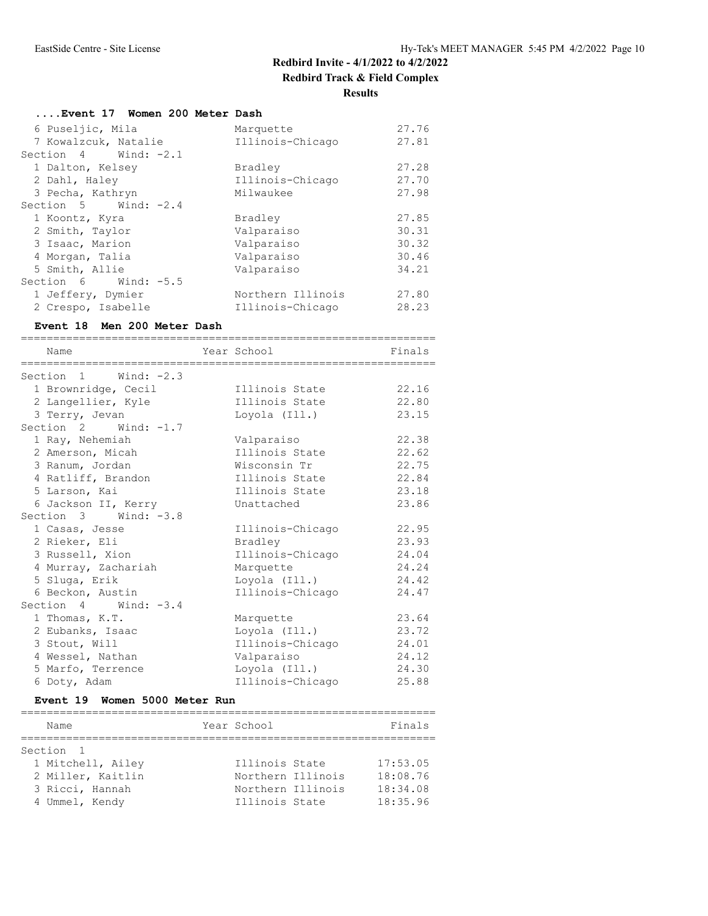**Results**

| Event 17 Women 200 Meter Dash |                   |       |
|-------------------------------|-------------------|-------|
| 6 Puseljic, Mila              | Marquette         | 27.76 |
| 7 Kowalzcuk, Natalie          | Illinois-Chicago  | 27.81 |
| Section $4$ Wind: $-2.1$      |                   |       |
| 1 Dalton, Kelsey              | Bradley           | 27.28 |
| 2 Dahl, Haley                 | Illinois-Chicago  | 27.70 |
| 3 Pecha, Kathryn              | Milwaukee         | 27.98 |
| Section $5$ Wind: $-2.4$      |                   |       |
| 1 Koontz, Kyra                | Bradley           | 27.85 |
| 2 Smith, Taylor               | Valparaiso        | 30.31 |
| 3 Isaac, Marion               | Valparaiso        | 30.32 |
| 4 Morgan, Talia               | Valparaiso        | 30.46 |
| 5 Smith, Allie                | Valparaiso        | 34.21 |
| Section 6 Wind: -5.5          |                   |       |
| 1 Jeffery, Dymier             | Northern Illinois | 27.80 |
| 2 Crespo, Isabelle            | Illinois-Chicago  | 28.23 |

#### **Event 18 Men 200 Meter Dash**

| Name                     | Year School      | Finals |
|--------------------------|------------------|--------|
|                          |                  |        |
| Section $1$ Wind: $-2.3$ |                  |        |
| 1 Brownridge, Cecil      | Illinois State   | 22.16  |
| 2 Langellier, Kyle       | Illinois State   | 22.80  |
| 3 Terry, Jevan           | Loyola (Ill.)    | 23.15  |
| Section $2$ Wind: $-1.7$ |                  |        |
| 1 Ray, Nehemiah          | Valparaiso       | 22.38  |
| 2 Amerson, Micah         | Illinois State   | 22.62  |
| 3 Ranum, Jordan          | Wisconsin Tr     | 22.75  |
| 4 Ratliff, Brandon       | Illinois State   | 22.84  |
| 5 Larson, Kai            | Illinois State   | 23.18  |
| 6 Jackson II, Kerry      | Unattached       | 23.86  |
| Section 3 Wind: -3.8     |                  |        |
| 1 Casas, Jesse           | Illinois-Chicago | 22.95  |
| 2 Rieker, Eli            | Bradley          | 23.93  |
| 3 Russell, Xion          | Illinois-Chicago | 24.04  |
| 4 Murray, Zachariah      | Marquette        | 24.24  |
| 5 Sluga, Erik            | Loyola (Ill.)    | 24.42  |
| 6 Beckon, Austin         | Illinois-Chicago | 24.47  |
| Section $4$ Wind: $-3.4$ |                  |        |
| 1 Thomas, K.T.           | Marquette        | 23.64  |
| 2 Eubanks, Isaac         | Loyola (Ill.)    | 23.72  |
| 3 Stout, Will            | Illinois-Chicago | 24.01  |
| 4 Wessel, Nathan         | Valparaiso       | 24.12  |
| 5 Marfo, Terrence        | Loyola (Ill.)    | 24.30  |
| 6 Doty, Adam             | Illinois-Chicago | 25.88  |

### **Event 19 Women 5000 Meter Run**

| Name              | Year School       | Finals   |
|-------------------|-------------------|----------|
|                   |                   |          |
| Section 1         |                   |          |
| 1 Mitchell, Ailey | Illinois State    | 17:53.05 |
| 2 Miller, Kaitlin | Northern Illinois | 18:08.76 |
| 3 Ricci, Hannah   | Northern Illinois | 18:34.08 |
| 4 Ummel, Kendy    | Illinois State    | 18:35.96 |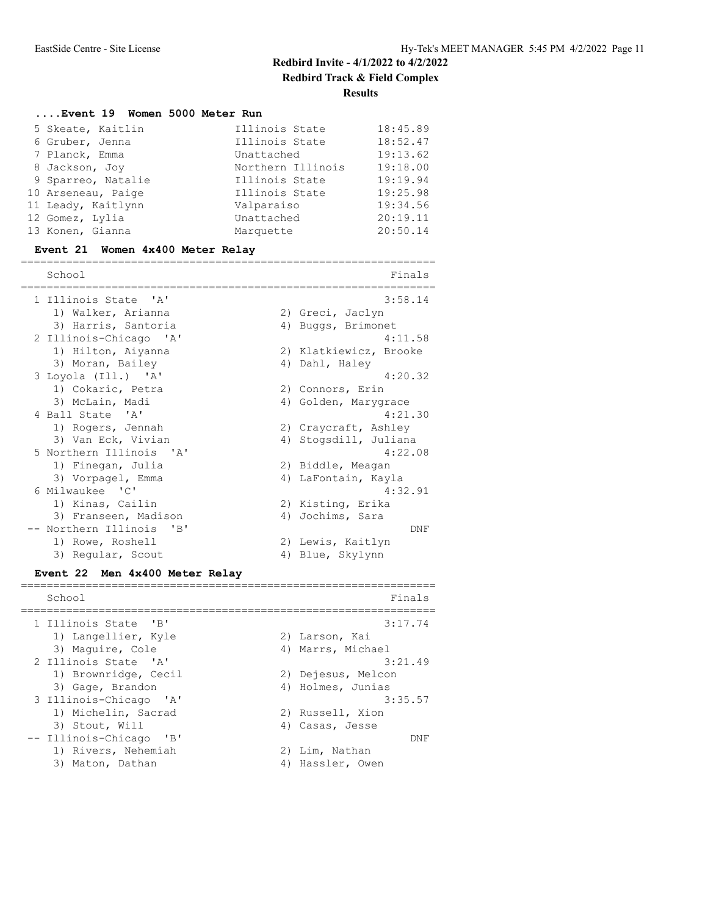## **....Event 19 Women 5000 Meter Run**

| 5 Skeate, Kaitlin  | Illinois State    | 18:45.89 |
|--------------------|-------------------|----------|
| 6 Gruber, Jenna    | Illinois State    | 18:52.47 |
| 7 Planck, Emma     | Unattached        | 19:13.62 |
| 8 Jackson, Joy     | Northern Illinois | 19:18.00 |
| 9 Sparreo, Natalie | Illinois State    | 19:19.94 |
| 10 Arseneau, Paige | Illinois State    | 19:25.98 |
| 11 Leady, Kaitlynn | Valparaiso        | 19:34.56 |
| 12 Gomez, Lylia    | Unattached        | 20:19.11 |
| 13 Konen, Gianna   | Marquette         | 20:50.14 |
|                    |                   |          |

## **Event 21 Women 4x400 Meter Relay**

| School                                             | Finals                 |
|----------------------------------------------------|------------------------|
| 1 Illinois State 'A'                               | 3:58.14                |
| 1) Walker, Arianna                                 | 2) Greci, Jaclyn       |
| 3) Harris, Santoria                                | 4) Buggs, Brimonet     |
| 2 Illinois-Chicago 'A'                             | 4:11.58                |
| 1) Hilton, Aiyanna                                 | 2) Klatkiewicz, Brooke |
| 3) Moran, Bailey                                   | 4) Dahl, Haley         |
| 3 Loyola (Ill.) 'A'                                | 4:20.32                |
| 1) Cokaric, Petra                                  | 2) Connors, Erin       |
| 3) McLain, Madi                                    | 4) Golden, Marygrace   |
| 4 Ball State 'A'                                   | 4:21.30                |
| 1) Rogers, Jennah                                  | 2) Craycraft, Ashley   |
| 3) Van Eck, Vivian                                 | 4) Stogsdill, Juliana  |
| 5 Northern Illinois 'A'                            | 4:22.08                |
| 1) Finegan, Julia                                  | 2) Biddle, Meagan      |
| 3) Vorpagel, Emma                                  | 4) LaFontain, Kayla    |
| 6 Milwaukee 'C'                                    | 4:32.91                |
| 1) Kinas, Cailin                                   | 2) Kisting, Erika      |
| 3) Franseen, Madison                               | 4) Jochims, Sara       |
| -- Northern Illinois<br>$^{\prime}$ B <sup>1</sup> | DNF                    |
| 1) Rowe, Roshell                                   | 2) Lewis, Kaitlyn      |
| 3) Reqular, Scout                                  | 4) Blue, Skylynn       |

## **Event 22 Men 4x400 Meter Relay**

| School                  | Finals             |
|-------------------------|--------------------|
| 1 Illinois State 'B'    | 3:17.74            |
| 1) Langellier, Kyle     | 2) Larson, Kai     |
| 3) Maquire, Cole        | 4) Marrs, Michael  |
| 2 Illinois State 'A'    | 3:21.49            |
| 1) Brownridge, Cecil    | 2) Dejesus, Melcon |
| 3) Gage, Brandon        | 4) Holmes, Junias  |
| 3 Illinois-Chicago 'A'  | 3:35.57            |
| 1) Michelin, Sacrad     | 2) Russell, Xion   |
| 3) Stout, Will          | 4) Casas, Jesse    |
| -- Illinois-Chicago 'B' | DNF                |
| 1) Rivers, Nehemiah     | 2) Lim, Nathan     |
| 3) Maton, Dathan        | 4) Hassler, Owen   |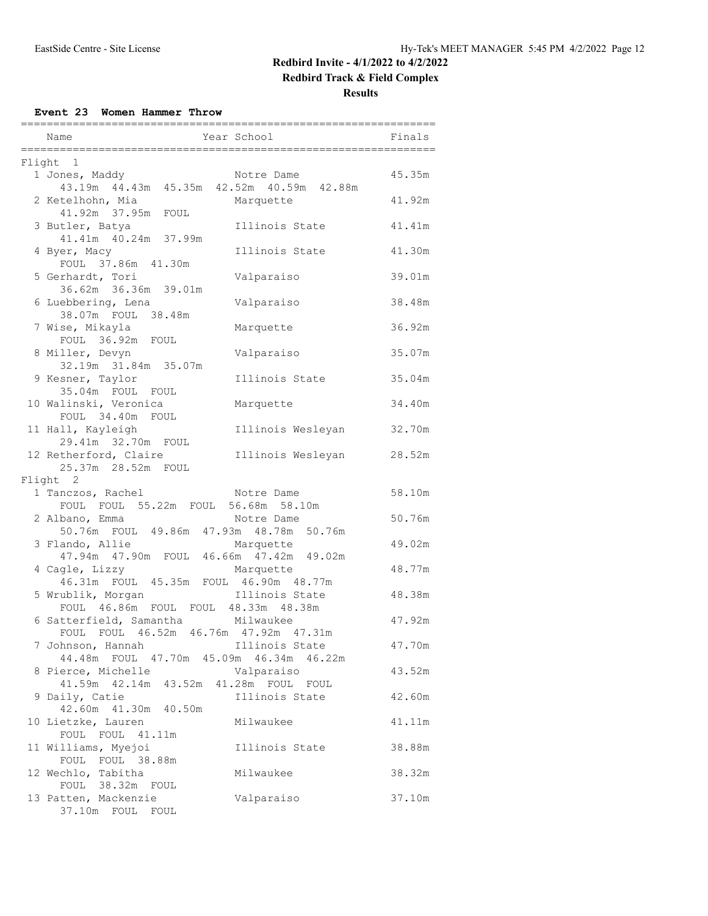## **Redbird Track & Field Complex**

**Results**

**Event 23 Women Hammer Throw**

| -----------------------                                                  |                                       |        |
|--------------------------------------------------------------------------|---------------------------------------|--------|
| Name                                                                     | Year School                           | Finals |
| Flight 1                                                                 |                                       |        |
| 1 Jones, Maddy<br>43.19m  44.43m  45.35m  42.52m  40.59m  42.88m         | Notre Dame                            | 45.35m |
| 2 Ketelhohn, Mia                                                         | Marquette                             | 41.92m |
| 41.92m 37.95m FOUL<br>3 Butler, Batya                                    | Illinois State                        | 41.41m |
| 41.41m  40.24m  37.99m<br>4 Byer, Macy                                   | Illinois State                        | 41.30m |
| FOUL 37.86m 41.30m<br>5 Gerhardt, Tori                                   | Valparaiso                            | 39.01m |
| 36.62m 36.36m 39.01m                                                     |                                       |        |
| 6 Luebbering, Lena<br>38.07m FOUL 38.48m                                 | Valparaiso                            | 38.48m |
| 7 Wise, Mikayla<br>FOUL 36.92m FOUL                                      | Marquette                             | 36.92m |
| 8 Miller, Devyn<br>32.19m 31.84m 35.07m                                  | Valparaiso                            | 35.07m |
| 9 Kesner, Taylor<br>35.04m FOUL FOUL                                     | Illinois State                        | 35.04m |
| 10 Walinski, Veronica<br>FOUL 34.40m FOUL                                | Marquette                             | 34.40m |
| 11 Hall, Kayleigh<br>29.41m 32.70m FOUL                                  | Illinois Wesleyan                     | 32.70m |
| 12 Retherford, Claire                                                    | Illinois Wesleyan                     | 28.52m |
| 25.37m 28.52m FOUL<br>Flight 2                                           |                                       |        |
| 1 Tanczos, Rachel                                                        | Notre Dame                            | 58.10m |
| FOUL FOUL 55.22m FOUL 56.68m 58.10m                                      |                                       |        |
| 2 Albano, Emma<br>50.76m FOUL 49.86m 47.93m 48.78m 50.76m                | Notre Dame                            | 50.76m |
| 3 Flando, Allie<br>47.94m  47.90m  FOUL  46.66m  47.42m  49.02m          | Marquette                             | 49.02m |
| 4 Cagle, Lizzy<br>46.31m FOUL 45.35m FOUL 46.90m 48.77m                  | Marquette                             | 48.77m |
| 5 Wrublik, Morgan                                                        | Illinois State                        | 48.38m |
| FOUL 46.86m FOUL FOUL 48.33m 48.38m<br>6 Satterfield, Samantha Milwaukee |                                       | 47.92m |
| FOUL FOUL 46.52m 46.76m 47.92m 47.31m<br>7 Johnson, Hannah               | Illinois State                        | 47.70m |
| 44.48m FOUL 47.70m 45.09m 46.34m<br>8 Pierce, Michelle                   | 46.22m<br>Valparaiso                  | 43.52m |
| 41.59m  42.14m  43.52m<br>9 Daily, Catie                                 | 41.28m FOUL<br>FOUL<br>Illinois State | 42.60m |
| 42.60m  41.30m  40.50m                                                   |                                       |        |
| 10 Lietzke, Lauren<br>FOUL FOUL 41.11m                                   | Milwaukee                             | 41.11m |
| 11 Williams, Myejoi<br>FOUL FOUL 38.88m                                  | Illinois State                        | 38.88m |
| 12 Wechlo, Tabitha<br>FOUL 38.32m FOUL                                   | Milwaukee                             | 38.32m |
| 13 Patten, Mackenzie<br>37.10m FOUL FOUL                                 | Valparaiso                            | 37.10m |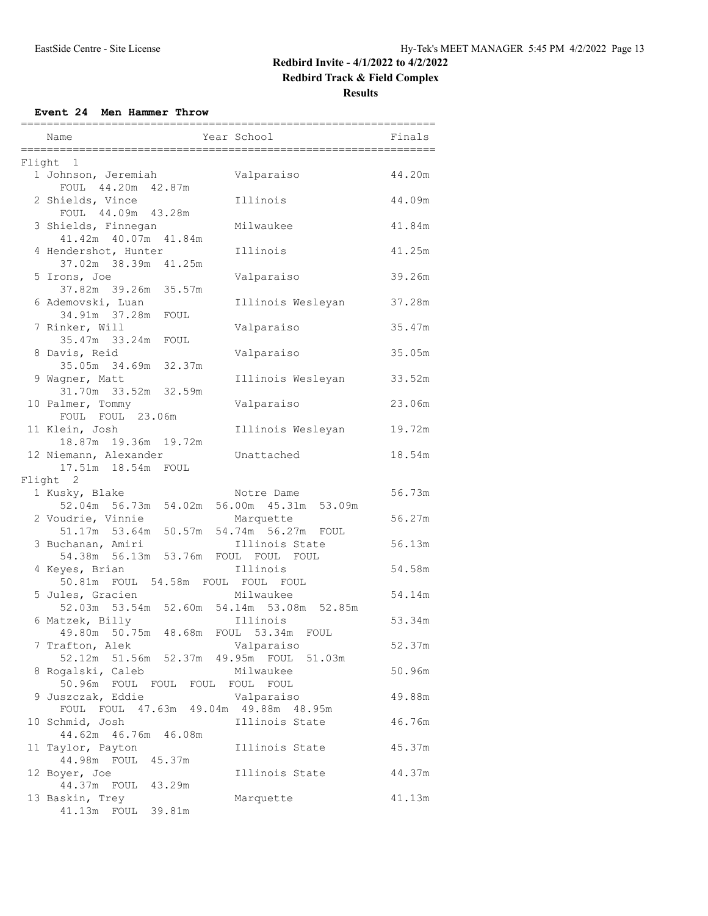## **Redbird Track & Field Complex**

**Results**

#### **Event 24 Men Hammer Throw**

| Name<br>====================                             | Year School                                            | Finals |
|----------------------------------------------------------|--------------------------------------------------------|--------|
| Flight 1                                                 |                                                        |        |
| 1 Johnson, Jeremiah<br>FOUL 44.20m 42.87m                | Valparaiso                                             | 44.20m |
| 2 Shields, Vince<br>FOUL 44.09m 43.28m                   | Illinois                                               | 44.09m |
| 3 Shields, Finnegan<br>41.42m  40.07m  41.84m            | Milwaukee                                              | 41.84m |
| 4 Hendershot, Hunter<br>37.02m 38.39m 41.25m             | Illinois                                               | 41.25m |
| 5 Irons, Joe<br>37.82m 39.26m 35.57m                     | Valparaiso                                             | 39.26m |
| 6 Ademovski, Luan                                        | Illinois Wesleyan                                      | 37.28m |
| 34.91m 37.28m<br>FOUL<br>7 Rinker, Will                  | Valparaiso                                             | 35.47m |
| 35.47m 33.24m<br>FOUL<br>8 Davis, Reid                   | Valparaiso                                             | 35.05m |
| 35.05m 34.69m 32.37m<br>9 Wagner, Matt                   | Illinois Wesleyan                                      | 33.52m |
| 31.70m 33.52m 32.59m<br>10 Palmer, Tommy                 | Valparaiso                                             | 23.06m |
| FOUL FOUL 23.06m<br>11 Klein, Josh                       | Illinois Wesleyan                                      | 19.72m |
| 18.87m 19.36m 19.72m<br>12 Niemann, Alexander            | Unattached                                             | 18.54m |
| 17.51m  18.54m  FOUL<br>Flight 2                         |                                                        |        |
| 1 Kusky, Blake                                           | Notre Dame                                             | 56.73m |
| 52.04m 56.73m                                            | 54.02m 56.00m 45.31m<br>53.09m                         |        |
| 2 Voudrie, Vinnie                                        | Marquette                                              | 56.27m |
| 51.17m 53.64m                                            | 50.57m 54.74m 56.27m FOUL                              |        |
| 3 Buchanan, Amiri                                        | Illinois State                                         | 56.13m |
| 54.38m  56.13m  53.76m<br>4 Keyes, Brian                 | FOUL FOUL FOUL<br>Illinois                             | 54.58m |
| 50.81m FOUL 54.58m FOUL FOUL FOUL                        |                                                        |        |
| 5 Jules, Gracien                                         | Milwaukee<br>52.03m 53.54m 52.60m 54.14m 53.08m 52.85m | 54.14m |
| 6 Matzek, Billy                                          | Illinois                                               | 53.34m |
| 49.80m 50.75m 48.68m FOUL 53.34m FOUL<br>7 Trafton, Alek | Valparaiso                                             | 52.37m |
| 52.12m 51.56m 52.37m 49.95m FOUL<br>8 Rogalski, Caleb    | 51.03m<br>Milwaukee                                    | 50.96m |
| 50.96m FOUL<br>FOUL<br>FOUL<br>9 Juszczak, Eddie         | FOUL<br>FOUL<br>Valparaiso                             | 49.88m |
| FOUL FOUL 47.63m 49.04m 49.88m 48.95m<br>10 Schmid, Josh | Illinois State                                         | 46.76m |
| 44.62m  46.76m<br>46.08m                                 | Illinois State                                         | 45.37m |
| 11 Taylor, Payton<br>44.98m FOUL<br>45.37m               |                                                        |        |
| 12 Boyer, Joe<br>44.37m FOUL<br>43.29m                   | Illinois State                                         | 44.37m |
| 13 Baskin, Trey<br>41.13m<br>FOUL<br>39.81m              | Marquette                                              | 41.13m |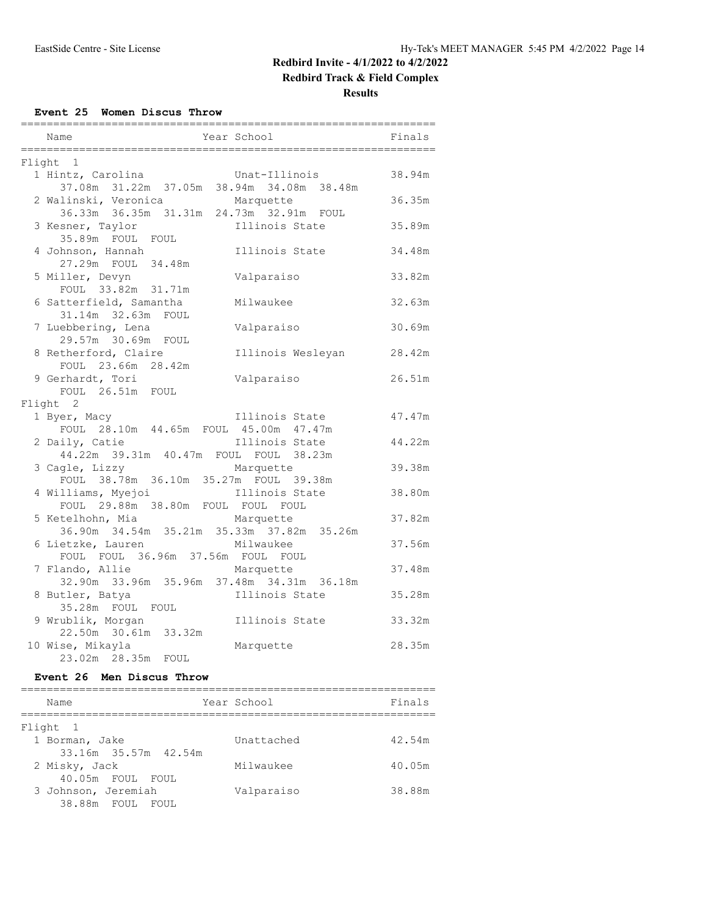## **Redbird Track & Field Complex**

#### **Results**

**Event 25 Women Discus Throw**

| ===============                                         |                   |        |
|---------------------------------------------------------|-------------------|--------|
| Year School<br>Name                                     |                   | Finals |
| Flight 1                                                |                   |        |
| 1 Hintz, Carolina                                       | Unat-Illinois     | 38.94m |
| 37.08m  31.22m  37.05m  38.94m  34.08m  38.48m          |                   |        |
| 2 Walinski, Veronica                                    | Marquette         | 36.35m |
| 36.33m 36.35m 31.31m 24.73m 32.91m FOUL                 |                   |        |
| 3 Kesner, Taylor                                        | Illinois State    | 35.89m |
| 35.89m FOUL FOUL                                        |                   |        |
| 4 Johnson, Hannah                                       | Illinois State    | 34.48m |
| 27.29m FOUL 34.48m                                      |                   |        |
| 5 Miller, Devyn<br>FOUL 33.82m 31.71m                   | Valparaiso        | 33.82m |
| 6 Satterfield, Samantha                                 | Milwaukee         | 32.63m |
| 31.14m 32.63m FOUL                                      |                   |        |
| 7 Luebbering, Lena                                      | Valparaiso        | 30.69m |
| 29.57m 30.69m FOUL                                      |                   |        |
| 8 Retherford, Claire                                    | Illinois Wesleyan | 28.42m |
| FOUL 23.66m 28.42m                                      |                   |        |
| 9 Gerhardt, Tori                                        | Valparaiso        | 26.51m |
| FOUL 26.51m FOUL                                        |                   |        |
| Flight 2                                                |                   |        |
| 1 Byer, Macy                                            | Illinois State    | 47.47m |
| FOUL 28.10m 44.65m FOUL 45.00m 47.47m                   |                   |        |
| 2 Daily, Catie                                          | Illinois State    | 44.22m |
| 44.22m 39.31m 40.47m FOUL FOUL 38.23m                   |                   |        |
| 3 Cagle, Lizzy<br>FOUL 38.78m 36.10m 35.27m FOUL 39.38m | Marquette         | 39.38m |
| 4 Williams, Myejoi                                      | Illinois State    | 38.80m |
| FOUL 29.88m 38.80m FOUL FOUL FOUL                       |                   |        |
| 5 Ketelhohn, Mia                                        | Marquette         | 37.82m |
| 36.90m 34.54m 35.21m 35.33m 37.82m 35.26m               |                   |        |
| 6 Lietzke, Lauren                                       | Milwaukee         | 37.56m |
| FOUL FOUL 36.96m 37.56m FOUL FOUL                       |                   |        |
| 7 Flando, Allie                                         | Marquette         | 37.48m |
| 32.90m 33.96m 35.96m 37.48m 34.31m 36.18m               |                   |        |
| 8 Butler, Batya                                         | Illinois State    | 35.28m |
| 35.28m FOUL FOUL                                        |                   |        |
| 9 Wrublik, Morgan                                       | Illinois State    | 33.32m |
| 22.50m 30.61m 33.32m                                    |                   |        |
| 10 Wise, Mikayla                                        | Marquette         | 28.35m |
| FOUL                                                    |                   |        |

#### **Event 26 Men Discus Throw**

| Name                 | Year School | Finals |
|----------------------|-------------|--------|
| Flight 1             |             |        |
| 1 Borman, Jake       | Unattached  | 42.54m |
| 33.16m 35.57m 42.54m |             |        |
| 2 Misky, Jack        | Milwaukee   | 40.05m |
| 40.05m FOUL FOUL     |             |        |
| 3 Johnson, Jeremiah  | Valparaiso  | 38.88m |
| 38.88m FOUL FOUL     |             |        |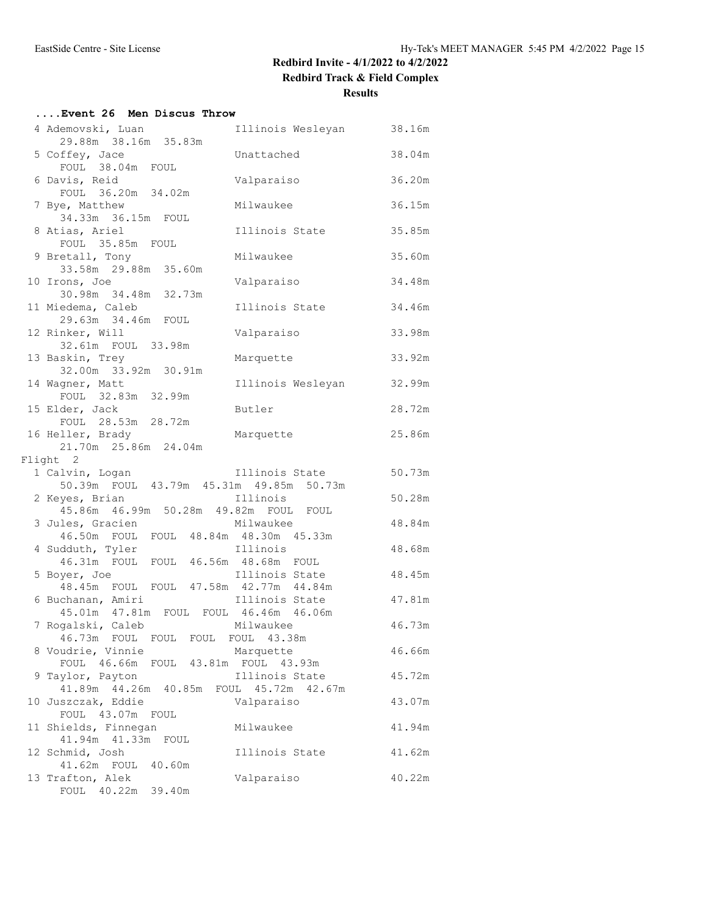## **....Event 26 Men Discus Throw**

| 4 Ademovski, Luan                                          | Illinois Wesleyan       | 38.16m |
|------------------------------------------------------------|-------------------------|--------|
| 29.88m 38.16m 35.83m                                       |                         |        |
| 5 Coffey, Jace<br>FOUL 38.04m FOUL                         | Unattached              | 38.04m |
| 6 Davis, Reid<br>FOUL 36.20m 34.02m                        | Valparaiso              | 36.20m |
| 7 Bye, Matthew                                             | Milwaukee               | 36.15m |
| 34.33m 36.15m FOUL                                         |                         |        |
| 8 Atias, Ariel                                             | Illinois State          | 35.85m |
| FOUL 35.85m FOUL<br>9 Bretall, Tony                        | Milwaukee               | 35.60m |
| 33.58m 29.88m 35.60m                                       |                         |        |
| 10 Irons, Joe                                              | Valparaiso              | 34.48m |
| 30.98m 34.48m 32.73m                                       |                         |        |
| 11 Miedema, Caleb                                          | Illinois State          | 34.46m |
| 29.63m 34.46m FOUL                                         |                         |        |
| 12 Rinker, Will                                            | Valparaiso              | 33.98m |
| 32.61m FOUL 33.98m                                         |                         |        |
| 13 Baskin, Trey                                            | Marquette               | 33.92m |
| 32.00m 33.92m 30.91m<br>14 Wagner, Matt                    | Illinois Wesleyan       | 32.99m |
| FOUL 32.83m 32.99m                                         |                         |        |
| 15 Elder, Jack                                             | Butler                  | 28.72m |
| FOUL 28.53m 28.72m                                         |                         |        |
| 16 Heller, Brady                                           | Marquette               | 25.86m |
| 21.70m 25.86m 24.04m                                       |                         |        |
| Flight 2                                                   |                         |        |
| 1 Calvin, Logan<br>50.39m FOUL 43.79m 45.31m 49.85m 50.73m | Illinois State          | 50.73m |
| 2 Keyes, Brian                                             | Illinois                | 50.28m |
| 45.86m  46.99m  50.28m  49.82m  FOUL  FOUL                 |                         |        |
| 3 Jules, Gracien                                           | Milwaukee               | 48.84m |
| 46.50m FOUL FOUL 48.84m 48.30m 45.33m                      |                         |        |
| 4 Sudduth, Tyler                                           | Illinois                | 48.68m |
| 46.31m FOUL FOUL 46.56m 48.68m FOUL                        |                         |        |
| 5 Boyer, Joe                                               | Illinois State          | 48.45m |
| 48.45m FOUL FOUL 47.58m 42.77m 44.84m<br>6 Buchanan, Amiri | Illinois State          | 47.81m |
| 45.01m  47.81m  FOUL  FOUL  46.46m  46.06m                 |                         |        |
| 7 Rogalski, Caleb                                          | Milwaukee               | 46.73m |
| 46.73m FOUL FOUL FOUL FOUL 43.38m                          |                         |        |
| 8 Voudrie, Vinnie                                          | Marquette               | 46.66m |
| FOUL 46.66m                                                | FOUL 43.81m FOUL 43.93m |        |
| 9 Taylor, Payton                                           | Illinois State          | 45.72m |
| 41.89m  44.26m  40.85m<br>FOUL                             | 45.72m  42.67m          |        |
| 10 Juszczak, Eddie                                         | Valparaiso              | 43.07m |
| FOUL 43.07m FOUL<br>11 Shields, Finnegan                   | Milwaukee               | 41.94m |
| 41.94m 41.33m<br>FOUL                                      |                         |        |
| 12 Schmid, Josh                                            | Illinois State          | 41.62m |
|                                                            |                         |        |
| 41.62m FOUL<br>40.60m                                      |                         |        |
| 13 Trafton, Alek                                           | Valparaiso              | 40.22m |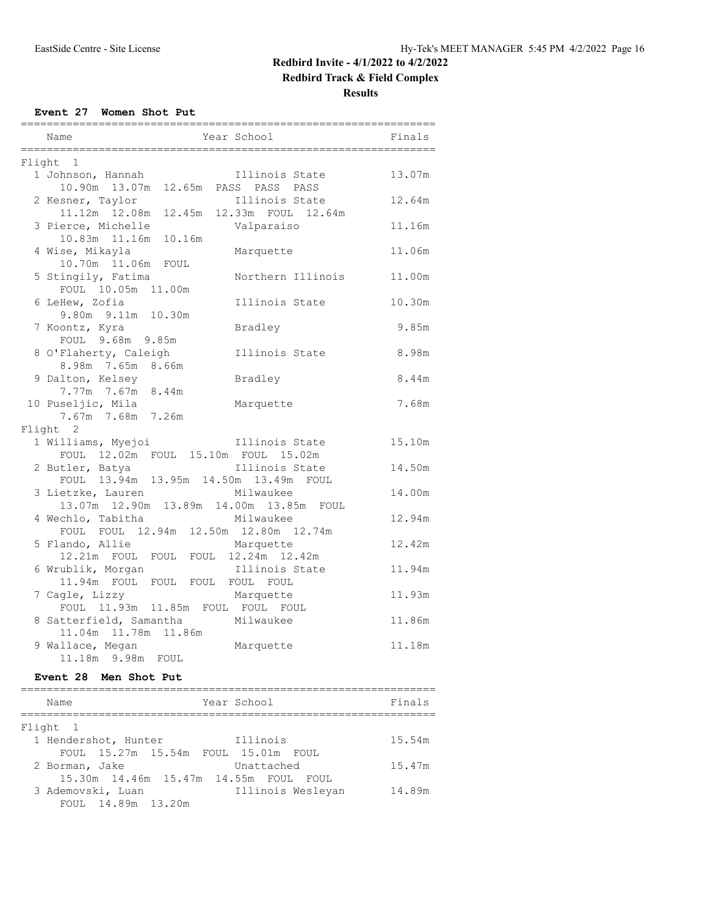## **Redbird Track & Field Complex**

**Results**

**Event 27 Women Shot Put**

| ===========<br>Name                                               | Year School                                 | Finals |
|-------------------------------------------------------------------|---------------------------------------------|--------|
| Flight 1                                                          |                                             |        |
| 1 Johnson, Hannah<br>10.90m  13.07m                               | Illinois State<br>12.65m PASS PASS PASS     | 13.07m |
| 2 Kesner, Taylor<br>11.12m  12.08m                                | Illinois State<br>12.45m 12.33m FOUL 12.64m | 12.64m |
| 3 Pierce, Michelle<br>10.16m<br>10.83m  11.16m                    | Valparaiso                                  | 11.16m |
| 4 Wise, Mikayla<br>10.70m  11.06m  FOUL                           | Marquette                                   | 11.06m |
| 5 Stingily, Fatima<br>FOUL 10.05m 11.00m                          | Northern Illinois                           | 11.00m |
| 6 LeHew, Zofia<br>9.80m 9.11m 10.30m                              | Illinois State                              | 10.30m |
| 7 Koontz, Kyra<br>FOUL 9.68m 9.85m                                | Bradley                                     | 9.85m  |
| 8 O'Flaherty, Caleigh<br>8.98m 7.65m 8.66m                        | Illinois State                              | 8.98m  |
| 9 Dalton, Kelsey<br>7.77m 7.67m 8.44m                             | Bradley                                     | 8.44m  |
| 10 Puseljic, Mila<br>7.67m 7.68m 7.26m                            | Marquette                                   | 7.68m  |
| Flight 2                                                          |                                             |        |
| 1 Williams, Myejoi<br>FOUL 12.02m FOUL 15.10m FOUL 15.02m         | Illinois State                              | 15.10m |
| 2 Butler, Batya<br>FOUL 13.94m 13.95m 14.50m 13.49m FOUL          | Illinois State                              | 14.50m |
| 3 Lietzke, Lauren<br>13.07m  12.90m  13.89m  14.00m  13.85m  FOUL | Milwaukee                                   | 14.00m |
| 4 Wechlo, Tabitha<br>FOUL FOUL 12.94m 12.50m 12.80m 12.74m        | Milwaukee                                   | 12.94m |
| 5 Flando, Allie<br>12.21m FOUL FOUL FOUL 12.24m 12.42m            | Marquette                                   | 12.42m |
| 6 Wrublik, Morgan<br>11.94m FOUL FOUL FOUL FOUL FOUL              | Illinois State                              | 11.94m |
| 7 Cagle, Lizzy<br>FOUL 11.93m 11.85m FOUL FOUL FOUL               | Marquette                                   | 11.93m |
| 8 Satterfield, Samantha<br>11.04m  11.78m  11.86m                 | Milwaukee                                   | 11.86m |
| 9 Wallace, Megan<br>11.18m 9.98m FOUL                             | Marquette                                   | 11.18m |

## **Event 28 Men Shot Put**

| Name                 | Year School                                | Finals |
|----------------------|--------------------------------------------|--------|
| Flight 1             |                                            |        |
| 1 Hendershot, Hunter | Illinois                                   | 15.54m |
|                      | FOUL 15.27m 15.54m FOUL 15.01m FOUL        |        |
| 2 Borman, Jake       | Unattached                                 | 15.47m |
|                      | 15.30m  14.46m  15.47m  14.55m  FOUL  FOUL |        |
| 3 Ademovski, Luan    | Illinois Wesleyan                          | 14.89m |
| FOUL 14.89m 13.20m   |                                            |        |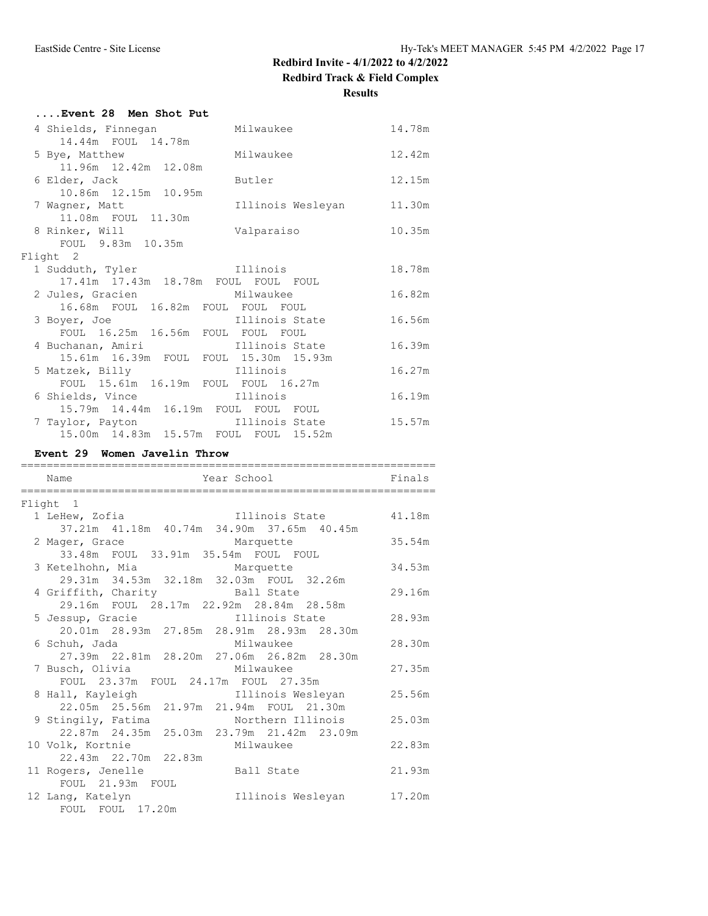#### **Results**

| Event 28 Men Shot Put                      |        |
|--------------------------------------------|--------|
| 4 Shields, Finnegan Milwaukee              | 14.78m |
| 14.44m FOUL 14.78m                         |        |
| Milwaukee<br>5 Bye, Matthew                | 12.42m |
| 11.96m  12.42m  12.08m                     |        |
| 6 Elder, Jack<br>Butler                    | 12.15m |
| 10.86m  12.15m  10.95m                     |        |
| Illinois Wesleyan 11.30m<br>7 Wagner, Matt |        |
| 11.08m FOUL 11.30m                         |        |
| 8 Rinker, Will<br>Valparaiso               | 10.35m |
| FOUL 9.83m 10.35m                          |        |
| Flight 2                                   |        |
| External Illinois<br>1 Sudduth, Tyler      | 18.78m |
| 17.41m 17.43m 18.78m FOUL FOUL FOUL        |        |
| 2 Jules, Gracien Milwaukee                 | 16.82m |
| 16.68m FOUL 16.82m FOUL FOUL FOUL          |        |
| 3 Boyer, Joe illinois State                | 16.56m |
| FOUL 16.25m 16.56m FOUL FOUL FOUL          |        |
| 4 Buchanan, Amiri (11111015 State)         | 16.39m |
| 15.61m  16.39m  FOUL  FOUL  15.30m  15.93m |        |
| 5 Matzek, Billy <b>East Ellinois</b>       | 16.27m |
| FOUL 15.61m 16.19m FOUL FOUL 16.27m        |        |
| 6 Shields, Vince<br>Illinois               | 16.19m |
| 15.79m  14.44m  16.19m  FOUL  FOUL  FOUL   |        |
| 7 Taylor, Payton<br>Illinois State         | 15.57m |
| 15.00m  14.83m  15.57m  FOUL  FOUL  15.52m |        |

#### **Event 29 Women Javelin Throw**

| Name                                                                                          | Year School – Santa Co   | Finals |
|-----------------------------------------------------------------------------------------------|--------------------------|--------|
| Flight 1                                                                                      |                          |        |
| 1 LeHew, Zofia                                                                                | Illinois State 41.18m    |        |
| 37.21m 41.18m 40.74m 34.90m 37.65m 40.45m                                                     |                          |        |
| 2 Mager, Grace<br>Marquette                                                                   | 35.54m                   |        |
| 33.48m FOUL 33.91m 35.54m FOUL FOUL                                                           |                          |        |
| 3 Ketelhohn, Mia Marquette 34.53m<br>29.31m 34.53m 32.18m 32.03m FOUL 32.26m                  |                          |        |
| 4 Griffith, Charity Ball State                                                                |                          | 29.16m |
| 29.16m FOUL 28.17m 22.92m 28.84m 28.58m                                                       |                          |        |
| 5 Jessup, Gracie illinois State 28.93m                                                        |                          |        |
| 20.01m 28.93m 27.85m 28.91m 28.93m 28.30m                                                     |                          |        |
| Milwaukee<br>6 Schuh, Jada                                                                    |                          | 28.30m |
| 27.39m   22.81m   28.20m   27.06m   26.82m   28.30m                                           |                          |        |
| 7 Busch, Olivia Milwaukee                                                                     |                          | 27.35m |
| FOUL 23.37m FOUL 24.17m FOUL 27.35m                                                           |                          |        |
| 8 Hall, Kayleigh Manuel Solis Wesleyan 25.56m<br>22.05m  25.56m  21.97m  21.94m  FOUL  21.30m |                          |        |
| 9 Stingily, Fatima Morthern Illinois 25.03m                                                   |                          |        |
| 22.87m  24.35m  25.03m  23.79m  21.42m  23.09m                                                |                          |        |
| Milwaukee<br>10 Volk, Kortnie                                                                 |                          | 22.83m |
|                                                                                               |                          |        |
| 11 Rogers, Jenelle Ball State                                                                 |                          | 21.93m |
| FOUL 21.93m FOUL                                                                              |                          |        |
| 12 Lang, Katelyn                                                                              | Illinois Wesleyan 17.20m |        |
| FOUL FOUL 17.20m                                                                              |                          |        |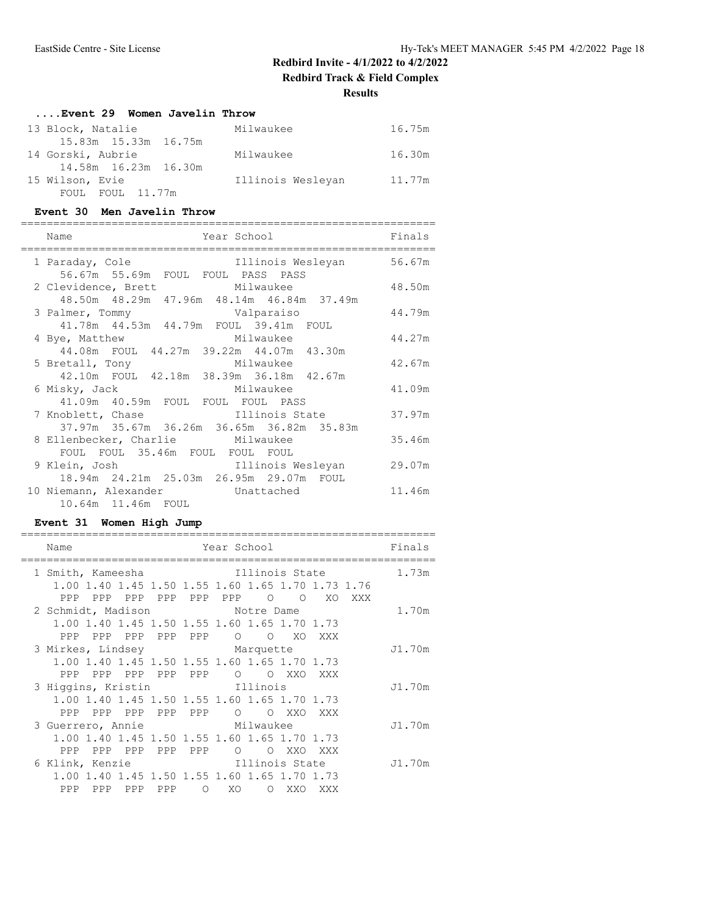#### **Results**

#### **....Event 29 Women Javelin Throw**

| 13 Block, Natalie    | Milwaukee         | 16.75m |
|----------------------|-------------------|--------|
| 15.83m 15.33m 16.75m |                   |        |
| 14 Gorski, Aubrie    | Milwaukee         | 16.30m |
| 14.58m 16.23m 16.30m |                   |        |
| 15 Wilson, Evie      | Illinois Wesleyan | 11.77m |
| FOUL FOUL 11.77m     |                   |        |

#### **Event 30 Men Javelin Throw**

| Year School<br>Name                                         | Finals |
|-------------------------------------------------------------|--------|
|                                                             |        |
| Illinois Wesleyan 56.67m<br>1 Paraday, Cole                 |        |
| 56.67m 55.69m FOUL FOUL PASS PASS                           |        |
| 2 Clevidence, Brett Milwaukee                               | 48.50m |
| 48.50m 48.29m 47.96m 48.14m 46.84m 37.49m                   |        |
| Valparaiso<br>3 Palmer, Tommy                               | 44.79m |
| 41.78m  44.53m  44.79m  FOUL  39.41m  FOUL                  |        |
| Milwaukee<br>4 Bye, Matthew                                 | 44.27m |
| 44.08m FOUL 44.27m 39.22m 44.07m 43.30m                     |        |
| 5 Bretall, Tony Milwaukee                                   | 42.67m |
| 42.10m FOUL 42.18m 38.39m 36.18m 42.67m                     |        |
| 6 Misky, Jack<br>Milwaukee                                  | 41.09m |
| 41.09m 40.59m FOUL FOUL FOUL PASS                           |        |
| 7 Knoblett, Chase [11111015 State                           | 37.97m |
| 37.97m 35.67m 36.26m 36.65m 36.82m 35.83m                   |        |
| 8 Ellenbecker, Charlie Milwaukee                            | 35.46m |
| FOUL FOUL 35.46m FOUL FOUL FOUL                             |        |
| 9 Klein, Josh                             Illinois Wesleyan | 29.07m |
| 18.94m  24.21m  25.03m  26.95m  29.07m  FOUL                |        |
| 10 Niemann, Alexander Chattached                            | 11.46m |
| 10.64m 11.46m FOUL                                          |        |
|                                                             |        |

#### **Event 31 Women High Jump**

| Name                                              |                | Year School and the School and the School and the School and the School and the School and the School |         |     |     |     | Finals |
|---------------------------------------------------|----------------|-------------------------------------------------------------------------------------------------------|---------|-----|-----|-----|--------|
|                                                   |                |                                                                                                       |         |     |     |     |        |
| 1 Smith, Kameesha                                 | Illinois State |                                                                                                       |         |     |     |     | 1.73m  |
| 1.00 1.40 1.45 1.50 1.55 1.60 1.65 1.70 1.73 1.76 |                |                                                                                                       |         |     |     |     |        |
| PPP<br>PPP PPP PPP PPP PPP 0 0                    |                |                                                                                                       |         |     | XO  | XXX |        |
| 2 Schmidt, Madison Motre Dame                     |                |                                                                                                       |         |     |     |     | 1.70m  |
| 1.00 1.40 1.45 1.50 1.55 1.60 1.65 1.70 1.73      |                |                                                                                                       |         |     |     |     |        |
| PPP PPP PPP PPP PPP 0 0 XO                        |                |                                                                                                       |         |     | XXX |     |        |
| 3 Mirkes, Lindsey Marquette                       |                |                                                                                                       |         |     |     |     | J1.70m |
| 1.00 1.40 1.45 1.50 1.55 1.60 1.65 1.70 1.73      |                |                                                                                                       |         |     |     |     |        |
| PPP PPP PPP PPP PPP O O XXO XXX                   |                |                                                                                                       |         |     |     |     |        |
| 3 Higgins, Kristin                                |                | Illinois                                                                                              |         |     |     |     | J1.70m |
| 1.00 1.40 1.45 1.50 1.55 1.60 1.65 1.70 1.73      |                |                                                                                                       |         |     |     |     |        |
| PPP PPP PPP PPP PPP O O XXO XXX                   |                |                                                                                                       |         |     |     |     |        |
| 3 Guerrero, Annie                                 | Milwaukee      |                                                                                                       |         |     |     |     | J1.70m |
| 1.00 1.40 1.45 1.50 1.55 1.60 1.65 1.70 1.73      |                |                                                                                                       |         |     |     |     |        |
| PPP PPP PPP PPP<br>PPP                            |                | $\overline{O}$                                                                                        | $\circ$ | XXO | XXX |     |        |
| 6 Klink, Kenzie Martinois State                   |                |                                                                                                       |         |     |     |     | J1.70m |
| 1.00 1.40 1.45 1.50 1.55 1.60 1.65 1.70 1.73      |                |                                                                                                       |         |     |     |     |        |
| PPP PPP PPP<br>PPP                                |                | O XO O XXO                                                                                            |         |     | XXX |     |        |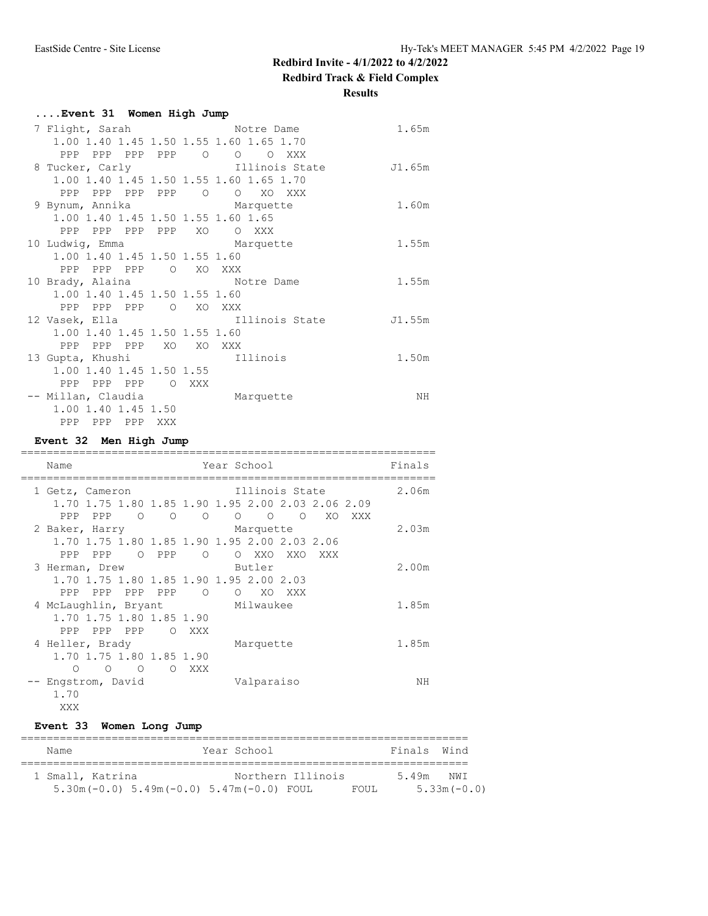**Redbird Track & Field Complex**

**Results**

| Event 31 Women High Jump      |  |                                                     |        |
|-------------------------------|--|-----------------------------------------------------|--------|
|                               |  | 7 Flight, Sarah Motre Dame                          | 1.65m  |
|                               |  | 1.00 1.40 1.45 1.50 1.55 1.60 1.65 1.70             |        |
|                               |  | PPP PPP PPP PPP 0 0 0 XXX                           |        |
|                               |  | 8 Tucker, Carly <b>East Election</b> Illinois State | J1.65m |
|                               |  | 1.00 1.40 1.45 1.50 1.55 1.60 1.65 1.70             |        |
|                               |  | PPP PPP PPP PPP 0 0 XO XXX                          |        |
|                               |  | 9 Bynum, Annika Marquette                           | 1.60m  |
|                               |  | 1.00 1.40 1.45 1.50 1.55 1.60 1.65                  |        |
| PPP PPP PPP PPP XO OXXX       |  |                                                     |        |
|                               |  | 10 Ludwig, Emma Marquette                           | 1.55m  |
| 1.00 1.40 1.45 1.50 1.55 1.60 |  |                                                     |        |
| PPP PPP PPP O XO XXX          |  |                                                     |        |
|                               |  | 10 Brady, Alaina Motre Dame                         | 1.55m  |
| 1.00 1.40 1.45 1.50 1.55 1.60 |  |                                                     |        |
| PPP PPP PPP 0 XO XXX          |  |                                                     |        |
|                               |  | 12 Vasek, Ella illinois State                       | J1.55m |
| 1.00 1.40 1.45 1.50 1.55 1.60 |  |                                                     |        |
| PPP PPP PPP XO XO XXX         |  |                                                     |        |
| 13 Gupta, Khushi              |  | 111inois                                            | 1.50m  |
| 1.00 1.40 1.45 1.50 1.55      |  |                                                     |        |
| PPP PPP PPP OXXX              |  |                                                     |        |
|                               |  | -- Millan, Claudia Marquette                        | ΝH     |
| 1.00 1.40 1.45 1.50           |  |                                                     |        |
| PPP PPP PPP XXX               |  |                                                     |        |

#### **Event 32 Men High Jump**

| Year School<br>Name                               |          |                          |  |                 |         |     | Finals |       |
|---------------------------------------------------|----------|--------------------------|--|-----------------|---------|-----|--------|-------|
| 1 Getz, Cameron                                   |          |                          |  | Illinois State  |         |     |        | 2.06m |
| 1.70 1.75 1.80 1.85 1.90 1.95 2.00 2.03 2.06 2.09 |          |                          |  |                 |         |     |        |       |
| PPP PPP 0 0 0                                     |          |                          |  | $\circ$ $\circ$ | $\circ$ | XO. | XXX    |       |
| 2 Baker, Harry                                    |          |                          |  | Marquette       |         |     |        | 2.03m |
| 1.70 1.75 1.80 1.85 1.90 1.95 2.00 2.03 2.06      |          |                          |  |                 |         |     |        |       |
| PPP PPP                                           | O PPP    | $\overline{\phantom{0}}$ |  | O XXO XXO       |         | XXX |        |       |
| 3 Herman, Drew                                    |          |                          |  | Butler          |         |     |        | 2.00m |
| 1.70 1.75 1.80 1.85 1.90 1.95 2.00 2.03           |          |                          |  |                 |         |     |        |       |
| PPP PPP PPP PPP                                   |          | $\Omega$                 |  | O XO            | XXX     |     |        |       |
| 4 McLaughlin, Bryant                              |          |                          |  | Milwaukee       |         |     |        | 1.85m |
| 1.70 1.75 1.80 1.85 1.90                          |          |                          |  |                 |         |     |        |       |
| PPP PPP PPP O XXX                                 |          |                          |  |                 |         |     |        |       |
| 4 Heller, Brady                                   |          |                          |  | Marquette       |         |     |        | 1.85m |
| 1.70 1.75 1.80 1.85 1.90                          |          |                          |  |                 |         |     |        |       |
| $\Omega$<br>∩<br>$\Omega$                         | $\Omega$ | <b>XXX</b>               |  |                 |         |     |        |       |
| -- Engstrom, David                                |          |                          |  | Valparaiso      |         |     |        | NΗ    |
| 1.70                                              |          |                          |  |                 |         |     |        |       |
| XXX                                               |          |                          |  |                 |         |     |        |       |

## **Event 33 Women Long Jump**

| Name                                                 | Year School       |       | Finals Wind |               |
|------------------------------------------------------|-------------------|-------|-------------|---------------|
| 1 Small, Katrina                                     | Northern Illinois |       | 549m        | NW T          |
| $5.30$ m (-0.0) $5.49$ m (-0.0) $5.47$ m (-0.0) FOUL |                   | FOUL. |             | $5.33m(-0.0)$ |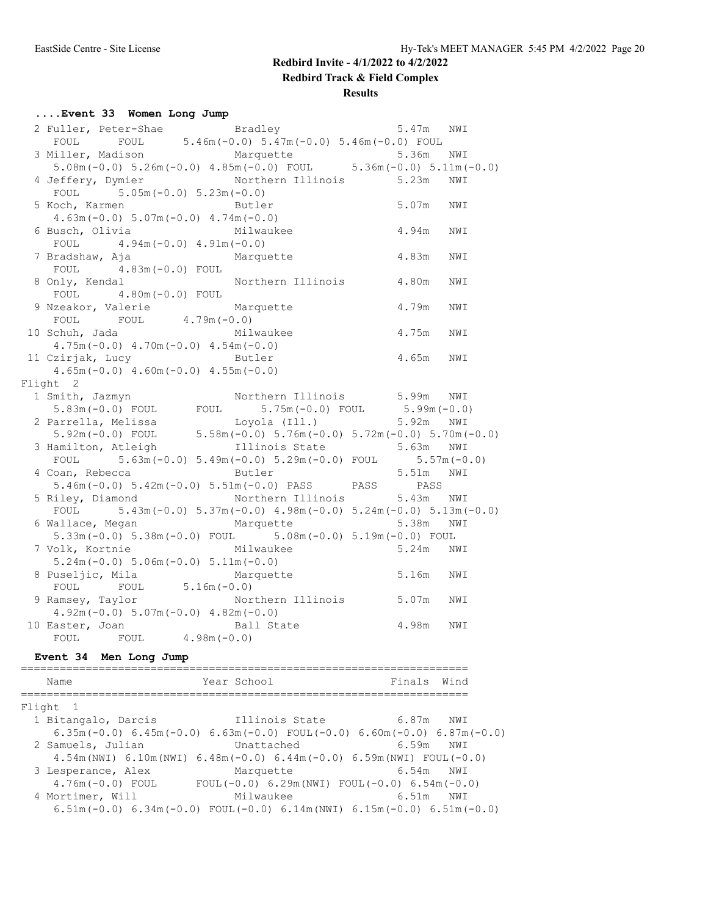### **Results**

## **....Event 33 Women Long Jump**

| 2 Fuller, Peter-Shae Bradley 5.46m (-0.0) 5.47m NWI<br>FOUL FOUL 5.46m (-0.0) 5.47m (-0.0) 5.46m (-0.0) FOUL                                                         |                                                                   |           | 5.47m NWI |     |
|----------------------------------------------------------------------------------------------------------------------------------------------------------------------|-------------------------------------------------------------------|-----------|-----------|-----|
|                                                                                                                                                                      |                                                                   |           |           |     |
|                                                                                                                                                                      |                                                                   |           |           |     |
| 3 Miller, Madison Marquette 5.36m NWI<br>5.08m (-0.0) 5.26m (-0.0) 4.85m (-0.0) FOUL 5.36m (-0.0) 5.11m (-0.0)                                                       |                                                                   |           |           |     |
| 4 Jeffery, Dymier Morthern Illinois 5.23m                                                                                                                            |                                                                   |           |           | NWI |
| FOUL $5.05m(-0.0) 5.23m(-0.0)$                                                                                                                                       |                                                                   |           |           |     |
| 5 Koch, Karmen                                                                                                                                                       | 5.07m NWI<br>4.94m NWI<br>4.83m NWI<br>Butler                     |           |           |     |
| $4.63m(-0.0) 5.07m(-0.0) 4.74m(-0.0)$                                                                                                                                |                                                                   |           |           |     |
| 6 Busch, Olivia Milwaukee                                                                                                                                            |                                                                   |           |           |     |
| FOUL $4.94m(-0.0) 4.91m(-0.0)$                                                                                                                                       |                                                                   |           |           |     |
| 7 Bradshaw, Aja                                                                                                                                                      | Marquette                                                         |           |           |     |
| FOUL $4.83m(-0.0)$ FOUL                                                                                                                                              |                                                                   |           |           |     |
| 8 Only, Kendal                                                                                                                                                       | Northern Illinois 4.80m                                           |           |           | NWI |
| FOUL $4.80m(-0.0)$ FOUL                                                                                                                                              |                                                                   |           |           |     |
| 9 Nzeakor, Valerie Marquette                                                                                                                                         |                                                                   |           | 4.79m     | NWI |
| FOUL FOUL $4.79m(-0.0)$                                                                                                                                              |                                                                   |           |           |     |
| 10 Schuh, Jada Milwaukee                                                                                                                                             |                                                                   | 4.75m NWI |           |     |
| $4.75m(-0.0)$ $4.70m(-0.0)$ $4.54m(-0.0)$                                                                                                                            |                                                                   |           |           |     |
| 11 Czirjak, Lucy Butler                                                                                                                                              |                                                                   | 4.65m NWI |           |     |
| $4.65m(-0.0)$ $4.60m(-0.0)$ $4.55m(-0.0)$                                                                                                                            |                                                                   |           |           |     |
| Flight 2                                                                                                                                                             |                                                                   |           |           |     |
| 1 Smith, Jazmyn                                                                                                                                                      | Northern Illinois 5.99m NWI                                       |           |           |     |
| $5.83m(-0.0)$ FOUL FOUL $5.75m(-0.0)$ FOUL $5.99m(-0.0)$                                                                                                             |                                                                   |           |           |     |
|                                                                                                                                                                      |                                                                   |           |           |     |
| 2 Parrella, Melissa Loyola (Ill.) 5.92m NWI<br>5.92m (-0.0) FOUL 5.58m (-0.0) 5.76m (-0.0) 5.72m (-0.0) 5.70m (-0.0)<br>3 Hamilton, Atleigh Illinois State 5.63m NWI |                                                                   |           |           |     |
|                                                                                                                                                                      |                                                                   |           |           |     |
| FOUL $5.63m(-0.0) 5.49m(-0.0) 5.29m(-0.0)$ FOUL $5.57m(-0.0)$                                                                                                        |                                                                   |           |           |     |
| 4 Coan, Rebecca Butler 5.51m NWI                                                                                                                                     |                                                                   |           |           |     |
| $5.46m(-0.0) 5.42m(-0.0) 5.51m(-0.0) PASS$ PASS PASS                                                                                                                 |                                                                   |           |           |     |
| 5 Riley, Diamond Morthern Illinois 5.43m NWI                                                                                                                         |                                                                   |           |           |     |
| FOUL $5.43m(-0.0) 5.37m(-0.0) 4.98m(-0.0) 5.24m(-0.0) 5.13m(-0.0)$                                                                                                   |                                                                   |           |           |     |
| 6 Wallace, Megan Marquette 5.38m NWI                                                                                                                                 |                                                                   |           |           |     |
| $5.33m(-0.0)$ $5.38m(-0.0)$ FOUL $5.08m(-0.0)$ $5.19m(-0.0)$ FOUL                                                                                                    |                                                                   |           |           |     |
| 7 Volk, Kortnie                                                                                                                                                      | Milwaukee                                                         |           |           |     |
| $5.24m(-0.0) 5.06m(-0.0) 5.11m(-0.0)$                                                                                                                                | Milwaukee 5.24m NWI<br>11m(-0.0) 5.24m NWI<br>Marquette 5.16m NWI |           |           |     |
| 8 Puseljic, Mila Mar<br>FOUL FOUL 5.16m(-0.0)                                                                                                                        |                                                                   |           |           |     |
|                                                                                                                                                                      |                                                                   |           |           |     |
| 9 Ramsey, Taylor                                                                                                                                                     | Northern Illinois 5.07m NWI                                       |           |           |     |
| $4.92m(-0.0) 5.07m(-0.0) 4.82m(-0.0)$                                                                                                                                |                                                                   |           |           |     |
| 10 Easter, Joan Ball State 4.98m NWI<br>FOUL FOUL 4.98m (-0.0)                                                                                                       |                                                                   |           |           |     |
|                                                                                                                                                                      |                                                                   |           |           |     |

#### **Event 34 Men Long Jump**

| Name                                                                                        | Year School |            |                | Finals Wind                                            |      |
|---------------------------------------------------------------------------------------------|-------------|------------|----------------|--------------------------------------------------------|------|
| Flight 1                                                                                    |             |            |                |                                                        |      |
| 1 Bitangalo, Darcis                                                                         |             |            | Illinois State | 6.87m NWI                                              |      |
| $6.35$ m (-0.0) $6.45$ m (-0.0) $6.63$ m (-0.0) FOUL (-0.0) $6.60$ m (-0.0) $6.87$ m (-0.0) |             |            |                |                                                        |      |
| 2 Samuels, Julian                                                                           |             | Unattached |                | 6.59m NWI                                              |      |
| $4.54$ m (NWI) $6.10$ m (NWI) $6.48$ m (-0.0) $6.44$ m (-0.0) $6.59$ m (NWI) FOUL (-0.0)    |             |            |                |                                                        |      |
| 3 Lesperance, Alex                                                                          |             | Marquette  |                | 6.54m NWI                                              |      |
| $4.76m(-0.0)$ FOUL                                                                          |             |            |                | FOUL $(-0.0)$ 6.29m (NWI) FOUL $(-0.0)$ 6.54m $(-0.0)$ |      |
| 4 Mortimer, Will                                                                            |             | Milwaukee  |                | 6.51m                                                  | NW I |
| $6.51m(-0.0)$ $6.34m(-0.0)$ FOUL $(-0.0)$ $6.14m(NWI)$ $6.15m(-0.0)$ $6.51m(-0.0)$          |             |            |                |                                                        |      |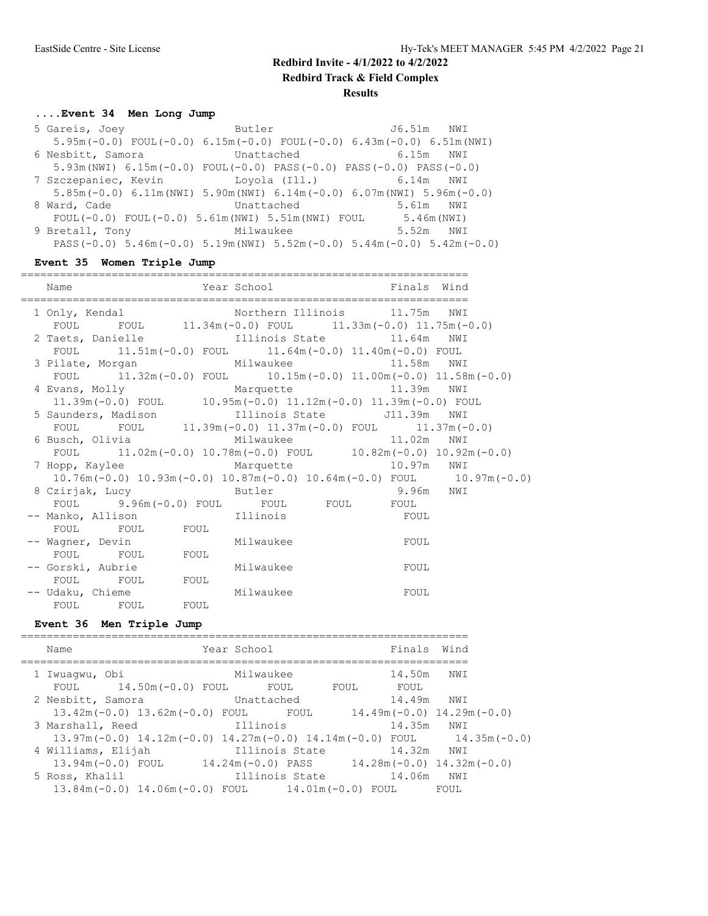## **....Event 34 Men Long Jump**

| 5 Gareis, Joey  | <b>Example 2018</b> Butler                                                            |            | J6.51m NWI |  |
|-----------------|---------------------------------------------------------------------------------------|------------|------------|--|
|                 | $5.95m(-0.0)$ FOUL $(-0.0)$ 6.15m $(-0.0)$ FOUL $(-0.0)$ 6.43m $(-0.0)$ 6.51m(NWI)    |            |            |  |
|                 | 6 Nesbitt, Samora               Unattached                                            |            | 6.15m NWI  |  |
|                 | $5.93m(NW1)$ 6.15m (-0.0) FOUL (-0.0) PASS (-0.0) PASS (-0.0) PASS (-0.0)             |            |            |  |
|                 | 7 Szczepaniec, Kevin            Loyola (Ill.)                6.14m   NWI              |            |            |  |
|                 | $5.85m(-0.0)$ 6.11m (NWI) 5.90m (NWI) 6.14m (-0.0) 6.07m (NWI) 5.96m (-0.0)           |            |            |  |
| 8 Ward, Cade    |                                                                                       | Unattached | 5.61m NWI  |  |
|                 | FOUL $(-0.0)$ FOUL $(-0.0)$ 5.61m (NWI) 5.51m (NWI) FOUL 5.46m (NWI)                  |            |            |  |
| 9 Bretall, Tony | Milwaukee 5.52m NWI                                                                   |            |            |  |
|                 | PASS $(-0.0)$ 5.46m $(-0.0)$ 5.19m (NWI) 5.52m $(-0.0)$ 5.44m $(-0.0)$ 5.42m $(-0.0)$ |            |            |  |

## **Event 35 Women Triple Jump**

| Name                                                                                                               | Year School | Finals Wind                                                                                                                                                                                                                          |  |
|--------------------------------------------------------------------------------------------------------------------|-------------|--------------------------------------------------------------------------------------------------------------------------------------------------------------------------------------------------------------------------------------|--|
| =================================                                                                                  |             | :======================                                                                                                                                                                                                              |  |
|                                                                                                                    |             |                                                                                                                                                                                                                                      |  |
|                                                                                                                    |             |                                                                                                                                                                                                                                      |  |
| 2 Taets, Danielle 11.64m NWI 37 NWI 37 11.64m NWI                                                                  |             |                                                                                                                                                                                                                                      |  |
| FOUL 11.51m (-0.0) FOUL 11.64m (-0.0) 11.40m (-0.0) FOUL                                                           |             |                                                                                                                                                                                                                                      |  |
| 3 Pilate, Morgan Milwaukee Mussell 11.58m NWI                                                                      |             |                                                                                                                                                                                                                                      |  |
| FOUL 11.32m (-0.0) FOUL 10.15m (-0.0) 11.00m (-0.0) 11.58m (-0.0)                                                  |             |                                                                                                                                                                                                                                      |  |
| 4 Evans, Molly 6 Marquette 11.39m NWI                                                                              |             |                                                                                                                                                                                                                                      |  |
| 11.39m(-0.0) FOUL $10.95m(-0.0)$ 11.12m(-0.0) 11.39m(-0.0) FOUL                                                    |             |                                                                                                                                                                                                                                      |  |
| 5 Saunders, Madison 111inois State 511.39m NWI                                                                     |             |                                                                                                                                                                                                                                      |  |
| FOUL FOUL $11.39m(-0.0) 11.37m(-0.0)$ FOUL $11.37m(-0.0)$                                                          |             |                                                                                                                                                                                                                                      |  |
| 6 Busch, Olivia $\text{Milwaukee}$ 11.02m NWI<br>FOUL 11.02m (-0.0) 10.78m (-0.0) FOUL 10.82m (-0.0) 10.92m (-0.0) |             |                                                                                                                                                                                                                                      |  |
|                                                                                                                    |             |                                                                                                                                                                                                                                      |  |
| 7 Hopp, Kaylee Marquette 10.97m NWI                                                                                |             |                                                                                                                                                                                                                                      |  |
| $10.76m(-0.0)$ $10.93m(-0.0)$ $10.87m(-0.0)$ $10.64m(-0.0)$ FOUL $10.97m(-0.0)$                                    |             |                                                                                                                                                                                                                                      |  |
| 8 Czirjak, Lucy butler 8.96m NWI                                                                                   |             |                                                                                                                                                                                                                                      |  |
| FOUL 9.96m (-0.0) FOUL FOUL FOUL FOUL FOUL                                                                         |             |                                                                                                                                                                                                                                      |  |
| -- Manko, Allison and Illinois and FOUL                                                                            |             |                                                                                                                                                                                                                                      |  |
| FOUL FOUL FOUL                                                                                                     |             |                                                                                                                                                                                                                                      |  |
| -- Wagner, Devin Milwaukee                                                                                         |             | <b>EXECUTE SECUTE SECURE SECURE SECURE SECURE SECURE SECURE SECURE SECURE SECURE SECURE SECURE SECURE SECURE SECURE SECURE SECURE SECURE SECURE SECURE SECURE SECURE SECURE SECURE SECURE SECURE SECURE SECURE SECURE SECURE SEC</b> |  |
| FOUL FOUL FOUL                                                                                                     |             |                                                                                                                                                                                                                                      |  |
| -- Gorski, Aubrie Milwaukee                                                                                        |             | <b>EXECUTE:</b>                                                                                                                                                                                                                      |  |
| FOUL FOUL FOUL                                                                                                     |             |                                                                                                                                                                                                                                      |  |
| -- Udaku, Chieme Milwaukee                                                                                         |             | <b>EQUIT</b>                                                                                                                                                                                                                         |  |
| FOUL FOUL FOUL                                                                                                     |             |                                                                                                                                                                                                                                      |  |

## **Event 36 Men Triple Jump**

| Name                                                                            | Year School        |      | Finals Wind    |                                       |
|---------------------------------------------------------------------------------|--------------------|------|----------------|---------------------------------------|
| 1 Iwuaqwu, Obi                                                                  | Milwaukee          |      | 14.50m         | NWI                                   |
| FOUL 14.50m (-0.0) FOUL<br>2 Nesbitt, Samora                                    | FOUL<br>Unattached | FOUL | FOUL<br>14.49m | NWI                                   |
| $13.42$ m $(-0.0)$ 13.62m $(-0.0)$ FOUL                                         |                    | FOUL |                | $14.49$ m $(-0.0)$ $14.29$ m $(-0.0)$ |
| 3 Marshall, Reed                                                                | Illinois           |      | 14.35m         | NWI                                   |
| $13.97m(-0.0)$ $14.12m(-0.0)$ $14.27m(-0.0)$ $14.14m(-0.0)$ FOUL $14.35m(-0.0)$ |                    |      |                |                                       |
| 4 Williams, Elijah                                                              | Illinois State     |      | 14.32m         | NW I                                  |
| $13.94m(-0.0)$ FOUL                                                             | 14.24m(-0.0) PASS  |      |                | $14.28$ m (-0.0) $14.32$ m (-0.0)     |
| 5 Ross, Khalil                                                                  | Illinois State     |      | 14.06m         | NWI                                   |
| $13.84$ m $(-0.0)$ $14.06$ m $(-0.0)$ FOUL $14.01$ m $(-0.0)$ FOUL              |                    |      |                | FOUL                                  |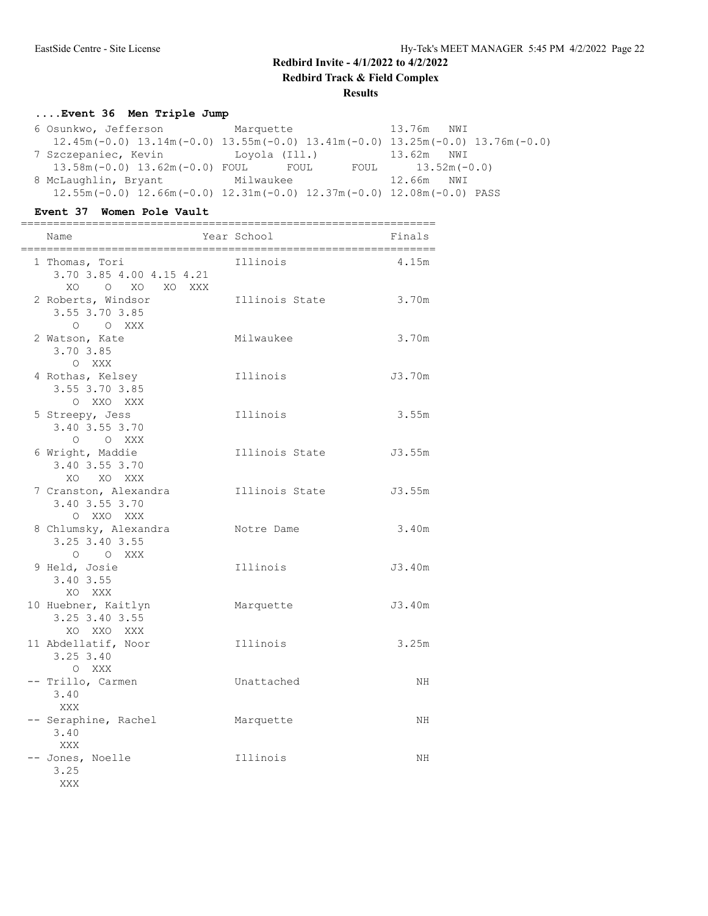## **....Event 36 Men Triple Jump**

| 6 Osunkwo, Jefferson Marquette             |                                                                                 | 13.76m NWI                                                                                |
|--------------------------------------------|---------------------------------------------------------------------------------|-------------------------------------------------------------------------------------------|
|                                            |                                                                                 | $12.45m(-0.0)$ $13.14m(-0.0)$ $13.55m(-0.0)$ $13.41m(-0.0)$ $13.25m(-0.0)$ $13.76m(-0.0)$ |
| 7 Szczepaniec, Kevin         Loyola (Ill.) |                                                                                 | 13.62m NWI                                                                                |
|                                            | $13.58m(-0.0)$ $13.62m(-0.0)$ FOUL FOUL FOUL 13.52m(-0.0)                       |                                                                                           |
| 8 McLaughlin, Bryant Milwaukee             |                                                                                 | 12.66m NWI                                                                                |
|                                            | $12.55m(-0.0)$ $12.66m(-0.0)$ $12.31m(-0.0)$ $12.37m(-0.0)$ $12.08m(-0.0)$ PASS |                                                                                           |

#### **Event 37 Women Pole Vault**

| Name                                                         | Year School    | Finals |
|--------------------------------------------------------------|----------------|--------|
| 1 Thomas, Tori<br>3.70 3.85 4.00 4.15 4.21<br>XO O XO XO XXX | Illinois       | 4.15m  |
| 2 Roberts, Windsor<br>3.55 3.70 3.85<br>O O XXX              | Illinois State | 3.70m  |
| 2 Watson, Kate<br>3.70 3.85<br>O XXX                         | Milwaukee      | 3.70m  |
| 4 Rothas, Kelsey<br>3.55 3.70 3.85<br>O XXO XXX              | Illinois       | J3.70m |
| 5 Streepy, Jess<br>3.40 3.55 3.70<br>O O XXX                 | Illinois       | 3.55m  |
| 6 Wright, Maddie<br>3.40 3.55 3.70<br>XO XO XXX              | Illinois State | J3.55m |
| 7 Cranston, Alexandra<br>3.40 3.55 3.70<br>O XXO XXX         | Illinois State | J3.55m |
| 8 Chlumsky, Alexandra<br>3.25 3.40 3.55<br>O O XXX           | Notre Dame     | 3.40m  |
| 9 Held, Josie<br>3.40 3.55<br>XO XXX                         | Illinois       | J3.40m |
| 10 Huebner, Kaitlyn<br>3.25 3.40 3.55<br>XO XXO XXX          | Marquette      | J3.40m |
| 11 Abdellatif, Noor<br>$3.25$ $3.40$<br>O XXX                | Illinois       | 3.25m  |
| -- Trillo, Carmen<br>3.40<br>XXX                             | Unattached     | ΝH     |
| -- Seraphine, Rachel<br>3.40<br>XXX                          | Marquette      | NH     |
| -- Jones, Noelle<br>3.25<br>XXX                              | Illinois       | NH     |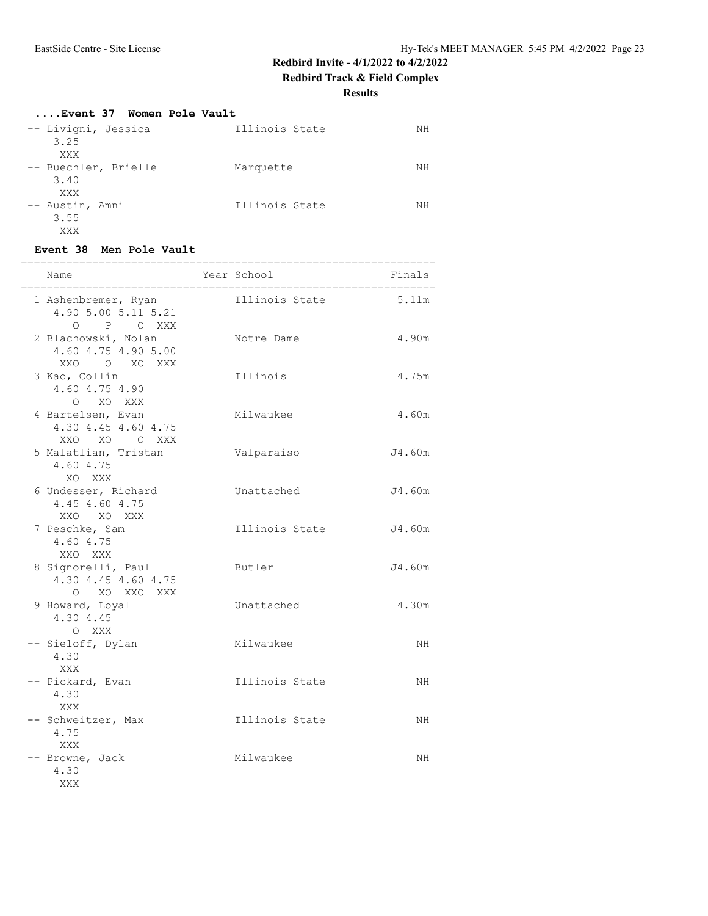#### **Results**

## **....Event 37 Women Pole Vault**

| -- Livigni, Jessica  | Illinois State | NH |
|----------------------|----------------|----|
| 3.25                 |                |    |
| XXX                  |                |    |
| -- Buechler, Brielle | Marquette      | NΗ |
| 3.40                 |                |    |
| XXX                  |                |    |
| -- Austin, Amni      | Illinois State | NΗ |
| 3.55                 |                |    |
| XXX                  |                |    |

#### **Event 38 Men Pole Vault**

| Name<br>_____________________________                      | Year School<br>__________________________________ | Finals |
|------------------------------------------------------------|---------------------------------------------------|--------|
| 1 Ashenbremer, Ryan<br>4.90 5.00 5.11 5.21<br>O P O XXX    | Illinois State                                    | 5.11m  |
| 2 Blachowski, Nolan<br>4.60 4.75 4.90 5.00<br>XXO O XO XXX | Notre Dame                                        | 4.90m  |
| 3 Kao, Collin<br>4.60 4.75 4.90<br>O XO XXX                | Illinois                                          | 4.75m  |
| 4 Bartelsen, Evan<br>4.30 4.45 4.60 4.75<br>XXO XO O XXX   | Milwaukee                                         | 4.60m  |
| 5 Malatlian, Tristan<br>4.60 4.75<br>XO XXX                | Valparaiso                                        | J4.60m |
| 6 Undesser, Richard<br>4.45 4.60 4.75<br>XXO XO XXX        | Unattached                                        | J4.60m |
| 7 Peschke, Sam<br>4.60 4.75<br>XXO XXX                     | Illinois State                                    | J4.60m |
| 8 Signorelli, Paul<br>4.30 4.45 4.60 4.75<br>O XO XXO XXX  | Butler                                            | J4.60m |
| 9 Howard, Loyal<br>4.30 4.45<br>O XXX                      | Unattached                                        | 4.30m  |
| -- Sieloff, Dylan<br>4.30<br>XXX                           | Milwaukee                                         | NH     |
| -- Pickard, Evan<br>4.30<br>XXX                            | Illinois State                                    | ΝH     |
| -- Schweitzer, Max<br>4.75<br>XXX                          | Illinois State                                    | NH     |
| -- Browne, Jack<br>4.30<br>XXX                             | Milwaukee                                         | NH     |